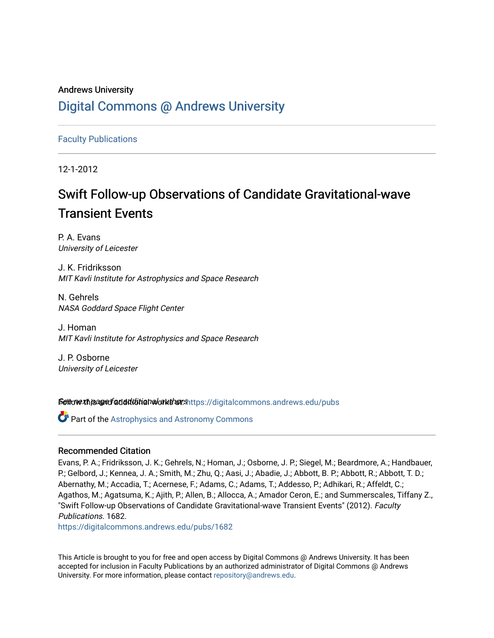## Andrews University [Digital Commons @ Andrews University](https://digitalcommons.andrews.edu/)

[Faculty Publications](https://digitalcommons.andrews.edu/pubs)

12-1-2012

# Swift Follow-up Observations of Candidate Gravitational-wave Transient Events

P. A. Evans University of Leicester

J. K. Fridriksson MIT Kavli Institute for Astrophysics and Space Research

N. Gehrels NASA Goddard Space Flight Center

J. Homan MIT Kavli Institute for Astrophysics and Space Research

J. P. Osborne University of Leicester

Settow the age of additional authors https://digitalcommons.andrews.edu/pubs

**Part of the Astrophysics and Astronomy Commons** 

## Recommended Citation

Evans, P. A.; Fridriksson, J. K.; Gehrels, N.; Homan, J.; Osborne, J. P.; Siegel, M.; Beardmore, A.; Handbauer, P.; Gelbord, J.; Kennea, J. A.; Smith, M.; Zhu, Q.; Aasi, J.; Abadie, J.; Abbott, B. P.; Abbott, R.; Abbott, T. D.; Abernathy, M.; Accadia, T.; Acernese, F.; Adams, C.; Adams, T.; Addesso, P.; Adhikari, R.; Affeldt, C.; Agathos, M.; Agatsuma, K.; Ajith, P.; Allen, B.; Allocca, A.; Amador Ceron, E.; and Summerscales, Tiffany Z., "Swift Follow-up Observations of Candidate Gravitational-wave Transient Events" (2012). Faculty Publications. 1682.

[https://digitalcommons.andrews.edu/pubs/1682](https://digitalcommons.andrews.edu/pubs/1682?utm_source=digitalcommons.andrews.edu%2Fpubs%2F1682&utm_medium=PDF&utm_campaign=PDFCoverPages) 

This Article is brought to you for free and open access by Digital Commons @ Andrews University. It has been accepted for inclusion in Faculty Publications by an authorized administrator of Digital Commons @ Andrews University. For more information, please contact [repository@andrews.edu](mailto:repository@andrews.edu).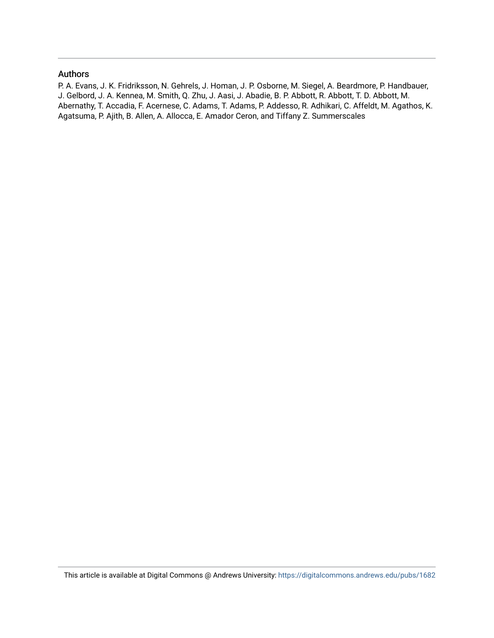### Authors

P. A. Evans, J. K. Fridriksson, N. Gehrels, J. Homan, J. P. Osborne, M. Siegel, A. Beardmore, P. Handbauer, J. Gelbord, J. A. Kennea, M. Smith, Q. Zhu, J. Aasi, J. Abadie, B. P. Abbott, R. Abbott, T. D. Abbott, M. Abernathy, T. Accadia, F. Acernese, C. Adams, T. Adams, P. Addesso, R. Adhikari, C. Affeldt, M. Agathos, K. Agatsuma, P. Ajith, B. Allen, A. Allocca, E. Amador Ceron, and Tiffany Z. Summerscales

This article is available at Digital Commons @ Andrews University:<https://digitalcommons.andrews.edu/pubs/1682>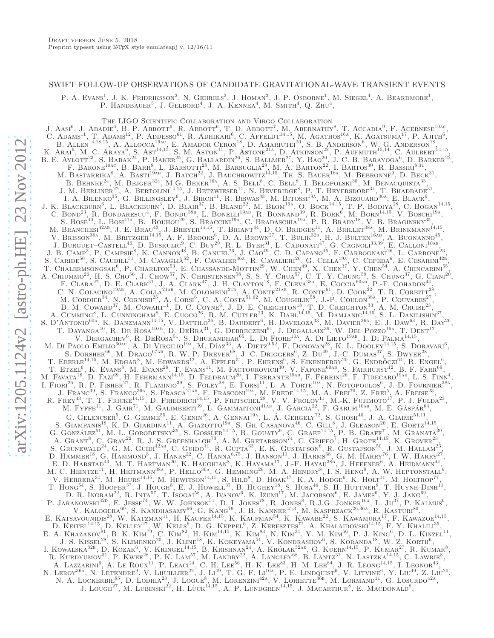#### SWIFT FOLLOW-UP OBSERVATIONS OF CANDIDATE GRAVITATIONAL-WAVE TRANSIENT EVENTS

P. A. Evans<sup>1</sup>, J. K. Fridriksson<sup>2</sup>, N. Gehrels<sup>3</sup>, J. Homan<sup>2</sup>, J. P. Osborne<sup>1</sup>, M. Siegel<sup>4</sup>, A. Beardmore<sup>1</sup>, P. HANDBAUER<sup>5</sup>, J. GELBORD<sup>4</sup>, J. A. KENNEA<sup>4</sup>, M. SMITH<sup>4</sup>, Q. ZHU<sup>4</sup>,

The LIGO Scientific Collaboration and Virgo Collaboration

J. Aasi<sup>6</sup>, J. Abadie<sup>6</sup>, B. P. Abbott<sup>6</sup>, R. Abbott<sup>6</sup>, T. D. Abbott<sup>7</sup>, M. Abernathy<sup>8</sup>, T. Accadia<sup>9</sup>, F. Acernese<sup>10ac</sup>, C. ADAMS<sup>11</sup>, T. ADAMS<sup>12</sup>, P. ADDESSO<sup>61</sup>, R. ADHIKARI<sup>6</sup>, C. AFFELDT<sup>14,15</sup>, M. AGATHOS<sup>16A</sup>, K. AGATSUMA<sup>17</sup>, P. AJITH<sup>6</sup>, B. ALLEN<sup>14,18,15</sup>, A. ALLOCCA<sup>19AC</sup>, E. AMADOR CERON<sup>18</sup>, D. AMARIUTEI<sup>20</sup>, S. B. ANDERSON<sup>6</sup>, W. G. ANDERSON<sup>18</sup>, K. Arai<sup>6</sup>, M. C. Araya<sup>6</sup>, S. Ast<sup>14,15</sup>, S. M. Aston<sup>11</sup>, P. Astone<sup>21A</sup>, D. Atkinson<sup>22</sup>, P. Aufmuth<sup>15,14</sup>, C. Aulbert<sup>14,15</sup>, B. E. Aylott<sup>23</sup>, S. Babak<sup>24</sup>, P. Baker<sup>25</sup>, G. Ballardin<sup>26</sup>, S. Ballmer<sup>27</sup>, Y. Bao<sup>20</sup>, J. C. B. Barayoga<sup>6</sup>, D. Barker<sup>22</sup>, F. BARONE<sup>10ac</sup>, B. BARR<sup>8</sup>, L. BARSOTTI<sup>28</sup>, M. BARSUGLIA<sup>29</sup>, M. A. BARTON<sup>22</sup>, I. BARTOS<sup>30</sup>, R. BASSIRI<sup>8,31</sup>, M. BASTARRIKA<sup>8</sup>, A. BASTI<sup>19ab</sup>, J. BATCH<sup>22</sup>, J. BAUCHROWITZ<sup>14,15</sup>, TH. S. BAUER<sup>16A</sup>, M. BEBRONNE<sup>9</sup>, D. BECK<sup>31</sup>, B. BEHNKE<sup>24</sup>, M. BEJGER<sup>32c</sup>, M.G. BEKER<sup>16A</sup>, A. S. BELL<sup>8</sup>, C. BELL<sup>8</sup>, I. BELOPOLSKI<sup>30</sup>, M. BENACQUISTA<sup>33</sup>, J. M. BERLINER<sup>22</sup>, A. BERTOLINI<sup>14,15</sup>, J. BETZWIESER<sup>11</sup>, N. BEVERIDGE<sup>8</sup>, P. T. BEYERSDORF<sup>34</sup>, T. BHADBADE<sup>31</sup>, I. A. BILENKO<sup>35</sup>, G. BILLINGSLEY<sup>6</sup>, J. BIRCH<sup>11</sup>, R. BISWAS<sup>33</sup>, M. BITOSSI<sup>19A</sup>, M. A. BIZOUARD<sup>36A</sup>, E. BLACK<sup>6</sup>, J. K. BLACKBURN<sup>6</sup>, L. BLACKBURN<sup>3</sup>, D. BLAIR<sup>37</sup>, B. BLAND<sup>22</sup>, M. BLOM<sup>16A</sup>, O. BOCK<sup>14,15</sup>, T. P. BODIYA<sup>28</sup>, C. BOGAN<sup>14,15</sup>, C. BOND<sup>23</sup>, R. BONDARESCU<sup>4</sup>, F. BONDU<sup>38B</sup>, L. BONELLI<sup>19AB</sup>, R. BONNAND<sup>39</sup>, R. BORK<sup>6</sup>, M. BORN<sup>14,15</sup>, V. BOSCHI<sup>19A</sup>, S. BOSE<sup>40</sup>, L. BOSI<sup>41A</sup>, B. BOUHOU<sup>29</sup>, S. BRACCINI<sup>19A</sup>, C. BRADASCHIA<sup>19A</sup>, P. R. BRADY<sup>18</sup>, V. B. BRAGINSKY<sup>35</sup>, M. BRANCHESI<sup>42AB</sup>, J. E. BRAU<sup>43</sup>, J. BREYER<sup>14,15</sup>, T. BRIANT<sup>44</sup>, D. O. BRIDGES<sup>11</sup>, A. BRILLET<sup>38A</sup>, M. BRINKMANN<sup>14,15</sup>, V. Brisson<sup>36A</sup>, M. Britzger<sup>14,15</sup>, A. F. Brooks<sup>6</sup>, D. A. Brown<sup>27</sup>, T. Bulik<sup>32b</sup>, H. J. Bulten<sup>16ab</sup>, A. Buonanno<sup>45</sup>, J. BURGUET–CASTELL<sup>46</sup>, D. BUSKULIC<sup>9</sup>, C. BUY<sup>29</sup>, R. L. BYER<sup>31</sup>, L. CADONATI<sup>47</sup>, G. CAGNOLI<sup>33,39</sup>, E. CALLONI<sup>10AB</sup>, J. B. CAMP<sup>3</sup>, P. CAMPSIE<sup>8</sup>, K. CANNON<sup>48</sup>, B. CANUEL<sup>26</sup>, J. CAO<sup>49</sup>, C. D. CAPANO<sup>45</sup>, F. CARBOGNANI<sup>26</sup>, L. CARBONE<sup>23</sup>, S. CARIDE<sup>50</sup>, S. CAUDILL<sup>51</sup>, M. CAVAGLIÀ<sup>52</sup>, F. CAVALIER<sup>36A</sup>, R. CAVALIERI<sup>26</sup>, G. CELLA<sup>19A</sup>, C. CEPEDA<sup>6</sup>, E. CESARINI<sup>426</sup>, T. CHALERMSONGSAK<sup>6</sup>, P. CHARLTON<sup>53</sup>, E. CHASSANDE-MOTTIN<sup>29</sup>, W. CHEN<sup>49</sup>, X. CHEN<sup>37</sup>, Y. CHEN<sup>54</sup>, A. CHINCARINI<sup>55</sup>, A. CHIUMMO<sup>26</sup>, H. S. CHO<sup>56</sup>, J. CHOW<sup>57</sup>, N. CHRISTENSEN<sup>58</sup>, S. S. Y. CHUA<sup>57</sup>, C. T. Y. CHUNG<sup>59</sup>, S. CHUNG<sup>37</sup>, G. CIANI<sup>20</sup>, F. CLARA<sup>22</sup>, D. E. CLARK<sup>31</sup>, J. A. CLARK<sup>47</sup>, J. H. CLAYTON<sup>18</sup>, F. CLEVA<sup>38A</sup>, E. COCCIA<sup>60AB</sup>, P.-F. COHADON<sup>44</sup>, C. N. COLACINO<sup>19AB</sup>, A. COLLA<sup>21AB</sup>, M. COLOMBINI<sup>21B</sup>, A. CONTE<sup>21AB</sup>, R. CONTE<sup>61</sup>, D. COOK<sup>22</sup>, T. R. CORBITT<sup>28</sup>, M. CORDIER<sup>34</sup>, N. CORNISH<sup>25</sup>, A. CORSI<sup>6</sup>, C. A. COSTA<sup>51,62</sup>, M. COUGHLIN<sup>58</sup>, J.-P. COULON<sup>38A</sup>, P. COUVARES<sup>27</sup>, D. M. COWARD<sup>37</sup>, M. COWART<sup>11</sup>, D. C. COYNE<sup>6</sup>, J. D. E. CREIGHTON<sup>18</sup>, T. D. CREIGHTON<sup>33</sup>, A. M. CRUISE<sup>23</sup>, A. CUMMING<sup>8</sup>, L. CUNNINGHAM<sup>8</sup>, E. CUOCO<sup>26</sup>, R. M. CUTLER<sup>23</sup>, K. DAHL<sup>14,15</sup>, M. DAMJANIC<sup>14,15</sup>, S. L. DANILISHIN<sup>37</sup>, S. D'ANTONIO<sup>60a</sup>, K. DANZMANN<sup>14,15</sup>, V. DATTILO<sup>26</sup>, B. DAUDERT<sup>6</sup>, H. DAVELOZA<sup>33</sup>, M. DAVIER<sup>36a</sup>, E. J. DAW<sup>63</sup>, R. DAY<sup>26</sup>, T. DAYANGA<sup>40</sup>, R. DE ROSA<sup>10AB</sup>, D. DEBRA<sup>31</sup>, G. DEBRECZENI<sup>64</sup>, J. DEGALLAIX<sup>39</sup>, W. DEL POZZO<sup>16A</sup>, T. DENT<sup>12</sup>, V. DERGACHEV<sup>6</sup>, R. DEROSA<sup>51</sup>, S. DHURANDHAR<sup>65</sup>, L. DI FIORE<sup>10A</sup>, A. DI LIETO<sup>19AB</sup>, I. DI PALMA<sup>14,15</sup>, M. DI PAOLO EMILIO<sup>60AC</sup>, A. DI VIRGILIO<sup>19A</sup>, M. DÍAZ<sup>33</sup>, A. DIETZ<sup>9,52</sup>, F. DONOVAN<sup>28</sup>, K. L. DOOLEY<sup>14,15</sup>, S. DORAVARI<sup>6</sup>, S. DORSHER<sup>66</sup>, M. DRAGO<sup>67AB</sup>, R. W. P. DREVER<sup>68</sup>, J. C. DRIGGERS<sup>6</sup>, Z. DU<sup>49</sup>, J.-C. DUMAS<sup>37</sup>, S. DWYER<sup>28</sup>, T. EBERLE<sup>14,15</sup>, M. EDGAR<sup>8</sup>, M. EDWARDS<sup>12</sup>, A. EFFLER<sup>51</sup>, P. EHRENS<sup>6</sup>, S. EIKENBERRY<sup>20</sup>, G. ENDRŐCZI<sup>64</sup>, R. ENGEL<sup>6</sup>, T. ETZEL<sup>6</sup>, K. EVANS<sup>8</sup>, M. EVANS<sup>28</sup>, T. EVANS<sup>11</sup>, M. FACTOUROVICH<sup>30</sup>, V. FAFONE<sup>60AB</sup>, S. FAIRHURST<sup>12</sup>, B. F. FARR<sup>69</sup>, M. FAVATA<sup>18</sup>, D. FAZI<sup>69</sup>, H. FEHRMANN<sup>14,15</sup>, D. FELDBAUM<sup>20</sup>, I. FERRANTE<sup>19AB</sup>, F. FERRINI<sup>26</sup>, F. FIDECARO<sup>19AB</sup>, L. S. FINN<sup>4</sup>, I. FIORI<sup>26</sup>, R. P. FISHER<sup>27</sup>, R. FLAMINIO<sup>39</sup>, S. FOLEY<sup>28</sup>, E. FORSI<sup>11</sup>, L. A. FORTE<sup>10A</sup>, N. FOTOPOULOS<sup>6</sup>, J.-D. FOURNIER<sup>38A</sup>, J. Franc<sup>39</sup>, S. Franco<sup>36a</sup>, S. Frasca<sup>21ab</sup>, F. Frasconi<sup>19a</sup>, M. Frede<sup>14,15</sup>, M. A. Frei<sup>70</sup>, Z. Frei<sup>5</sup>, A. Freise<sup>23</sup>, R. FREY<sup>43</sup>, T. T. FRICKE<sup>14,15</sup>, D. FRIEDRICH<sup>14,15</sup>, P. FRITSCHEL<sup>28</sup>, V. V. FROLOV<sup>11</sup>, M.-K. FUJIMOTO<sup>17</sup>, P. J. FULDA<sup>23</sup>, M. FYFFE<sup>11</sup>, J. GAIR<sup>71</sup>, M. GALIMBERTI<sup>39</sup>, L. GAMMAITONI<sup>41AB</sup>, J. GARCIA<sup>22</sup>, F. GARUFI<sup>10AB</sup>, M. E. GÁSPÁR<sup>64</sup>, G. GELENCSER<sup>5</sup>, G. GEMME<sup>55</sup>, E. GENIN<sup>26</sup>, A. GENNAI<sup>19A</sup>, L. Á. GERGELY<sup>72</sup>, S. GHOSH<sup>40</sup>, J. A. GIAIME<sup>51,11</sup>, S. GIAMPANIS<sup>18</sup>, K. D. GIARDINA<sup>11</sup>, A. GIAZOTTO<sup>19A</sup>, S. GIL-CASANOVA<sup>46</sup>, C. GILL<sup>8</sup>, J. GLEASON<sup>20</sup>, E. GOETZ<sup>14,15</sup>, G. GONZÁLEZ<sup>51</sup>, M. L. GORODETSKY<sup>35</sup>, S. GOSSLER<sup>14,15</sup>, R. GOUATY<sup>9</sup>, C. GRAEF<sup>14,15</sup>, P. B. GRAFF<sup>71</sup>, M. GRANATA<sup>39</sup>, A. GRANT<sup>8</sup>, C. GRAY<sup>22</sup>, R. J. S. GREENHALGH<sup>73</sup>, A. M. GRETARSSON<sup>74</sup>, C. GRIFFO<sup>7</sup>, H. GROTE<sup>14,15</sup>, K. GROVER<sup>23</sup>, S. GRUNEWALD<sup>24</sup>, G. M. GUIDI<sup>42AB</sup>, C. GUIDO<sup>11</sup>, R. GUPTA<sup>65</sup>, E. K. GUSTAFSON<sup>6</sup>, R. GUSTAFSON<sup>50</sup>, J. M. HALLAM<sup>23</sup>, D. HAMMER<sup>18</sup>, G. HAMMOND<sup>8</sup>, J. HANKS<sup>22</sup>, C. HANNA<sup>6,75</sup>, J. HANSON<sup>11</sup>, J. HARMS<sup>68</sup>, G. M. HARRY<sup>76</sup>, I. W. HARRY<sup>77</sup>, E. D. HARSTAD<sup>43</sup>, M. T. HARTMAN<sup>20</sup>, K. HAUGHIAN<sup>8</sup>, K. HAYAMA<sup>17</sup>, J.-F. HAYAU<sup>386</sup>, J. HEEFNER<sup>6</sup>, A. HEIDMANN<sup>44</sup>, M. C. HEINTZE<sup>11</sup>, H. HEITMANN<sup>38A</sup>, P. HELLO<sup>36A</sup>, G. HEMMING<sup>26</sup>, M. A. HENDRY<sup>8</sup>, I. S. HENG<sup>8</sup>, A. W. HEPTONSTALL<sup>6</sup>, V. HERRERA<sup>31</sup>, M. HEURS<sup>14,15</sup>, M. HEWITSON<sup>14,15</sup>, S. HILD<sup>8</sup>, D. HOAK<sup>47</sup>, K. A. HODGE<sup>6</sup>, K. HOLT<sup>11</sup>, M. HOLTROP<sup>77</sup>, T. HONG<sup>54</sup>, S. HOOPER<sup>37</sup>, J. HOUGH<sup>8</sup>, E. J. HOWELL<sup>37</sup>, B. HUGHEY<sup>18</sup>, S. HUSA<sup>46</sup>, S. H. HUTTNER<sup>8</sup>, T. HUYNH-DINH<sup>11</sup>, D. R. INGRAM<sup>22</sup>, R. INTA<sup>57</sup>, T. ISOGAI<sup>58</sup>, A. IVANOV<sup>6</sup>, K. IZUMI<sup>17</sup>, M. JACOBSON<sup>6</sup>, E. JAMES<sup>6</sup>, Y. J. JANG<sup>69</sup>, P. JARANOWSKI<sup>32D</sup>, E. JESSE<sup>74</sup>, W. W. JOHNSON<sup>51</sup>, D. I. JONES<sup>78</sup>, R. JONES<sup>8</sup>, R.J.G. JONKER<sup>16A</sup>, L. JU<sup>37</sup>, P. KALMUS<sup>6</sup>, V. KALOGERA<sup>69</sup>, S. KANDHASAMY<sup>66</sup>, G. KANG<sup>79</sup>, J. B. KANNER<sup>45,3</sup>, M. KASPRZACK<sup>26,36A</sup>, R. KASTURI<sup>80</sup>, E. KATSAVOUNIDIS<sup>28</sup>, W. KATZMAN<sup>11</sup>, H. KAUFER<sup>14,15</sup>, K. KAUFMAN<sup>54</sup>, K. KAWABE<sup>22</sup>, S. KAWAMURA<sup>17</sup>, F. KAWAZOE<sup>14,15</sup>, D. KEITEL<sup>14,15</sup>, D. KELLEY<sup>27</sup>, W. KELLS<sup>6</sup>, D. G. KEPPEL<sup>6</sup>, Z. KERESZTES<sup>72</sup>, A. KHALAIDOVSKI<sup>14,15</sup>, F. Y. KHALILI<sup>35</sup>, E. A. KHAZANOV<sup>81</sup>, B. K. KIM<sup>79</sup>, C. KIM<sup>82</sup>, H. KIM<sup>14,15</sup>, K. KIM<sup>83</sup>, N. KIM<sup>31</sup>, Y. M. KIM<sup>56</sup>, P. J. KING<sup>6</sup>, D. L. KINZEL<sup>11</sup>, J. S. KISSEL<sup>28</sup>, S. KLIMENKO<sup>20</sup>, J. KLINE<sup>18</sup>, K. KOKEYAMA<sup>51</sup>, V. KONDRASHOV<sup>6</sup>, S. KORANDA<sup>18</sup>, W. Z. KORTH<sup>6</sup>, I. KOWALSKA $3^{2B}$ , D. KOZAK<sup>6</sup>, V. KRINGEL<sup>14,15</sup>, B. KRISHNAN<sup>24</sup>, A. KRÓLAK $3^{24E}$ , G. KUEHN<sup>14,15</sup>, P. KUMAR<sup>27</sup>, R. KUMAR<sup>8</sup>, R. KURDYUMOV<sup>31</sup>, P. KWEE<sup>28</sup>, P. K. LAM<sup>57</sup>, M. LANDRY<sup>22</sup>, A. LANGLEY<sup>68</sup>, B. LANTZ<sup>31</sup>, N. LASTZKA<sup>14,15</sup>, C. LAWRIE<sup>8</sup>, A. LAZZARINI<sup>6</sup>, A. LE ROUX<sup>11</sup>, P. LEACI<sup>24</sup>, C. H. LEE<sup>56</sup>, H. K. LEE<sup>83</sup>, H. M. LEE<sup>84</sup>, J. R. LEONG<sup>14</sup>,<sup>15</sup>, I. LEONOR<sup>43</sup>, N. LEROY<sup>36A</sup>, N. LETENDRE<sup>9</sup>, V. LHUILLIER<sup>22</sup>, J. Li<sup>49</sup>, T. G. F. Li<sup>16A</sup>, P. E. LINDQUIST<sup>6</sup>, V. LITVINE<sup>6</sup>, Y. LIU<sup>49</sup>, Z. LIU<sup>20</sup>, N. A. LOCKERBIE<sup>85</sup>, D. LODHIA<sup>23</sup>, J. LOGUE<sup>8</sup>, M. LORENZINI<sup>42</sup><sup>A</sup>, V. LORIETTE<sup>36B</sup>, M. LORMAND<sup>11</sup>, G. LOSURDO<sup>42A</sup>, J. LOUGH<sup>27</sup>, M. LUBINSKI<sup>22</sup>, H. LÜCK<sup>14,15</sup>, A. P. LUNDGREN<sup>14,15</sup>, J. MACARTHUR<sup>8</sup>, E. MACDONALD<sup>8</sup>,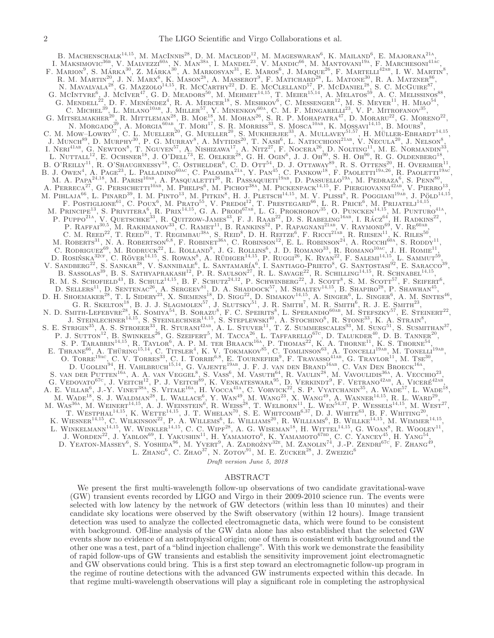B. MACHENSCHALK<sup>14,15</sup>, M. MACINNIS<sup>28</sup>, D. M. MACLEOD<sup>12</sup>, M. MAGESWARAN<sup>6</sup>, K. MAILAND<sup>6</sup>, E. MAJORANA<sup>21A</sup>, I. MAKSIMOVIC<sup>36b</sup>, V. MALVEZZI<sup>60A</sup>, N. MAN<sup>38A</sup>, I. MANDEL<sup>23</sup>, V. MANDIC<sup>66</sup>, M. MANTOVANI<sup>19A</sup>, F. MARCHESONI<sup>416c</sup>, F. MARION<sup>9</sup>, S. MÁRKA<sup>30</sup>, Z. MÁRKA<sup>30</sup>, A. MARKOSYAN<sup>31</sup>, E. MAROS<sup>6</sup>, J. MARQUE<sup>26</sup>, F. MARTELLI<sup>42AB</sup>, I. W. MARTIN<sup>8</sup>, R. M. MARTIN<sup>20</sup>, J. N. MARX<sup>6</sup>, K. MASON<sup>28</sup>, A. MASSEROT<sup>9</sup>, F. MATICHARD<sup>28</sup>, L. MATONE<sup>30</sup>, R. A. MATZNER<sup>86</sup>, N. MAVALVALA<sup>28</sup>, G. MAZZOLO<sup>14,15</sup>, R. MCCARTHY<sup>22</sup>, D. E. MCCLELLAND<sup>57</sup>, P. MCDANIEL<sup>28</sup>, S. C. MCGUIRE<sup>87</sup>, G. MCINTYRE<sup>6</sup>, J. MCIVER<sup>47</sup>, G. D. MEADORS<sup>50</sup>, M. MEHMET<sup>14,15</sup>, T. MEIER<sup>15,14</sup>, A. MELATOS<sup>59</sup>, A. C. MELISSINOS<sup>88</sup>, G. MENDELL<sup>22</sup>, D. F. MENÉNDEZ<sup>4</sup>, R. A. MERCER<sup>18</sup>, S. MESHKOV<sup>6</sup>, C. MESSENGER<sup>12</sup>, M. S. MEYER<sup>11</sup>, H. MIAO<sup>54</sup>, C. MICHEL<sup>39</sup>, L. MILANO<sup>10AB</sup>, J. MILLER<sup>57</sup>, Y. MINENKOV<sup>60A</sup>, C. M. F. MINGARELLI<sup>23</sup>, V. P. MITROFANOV<sup>35</sup>, G. MITSELMAKHER<sup>20</sup>, R. MITTLEMAN<sup>28</sup>, B. Moe<sup>18</sup>, M. MOHAN<sup>26</sup>, S. R. P. MOHAPATRA<sup>47</sup>, D. MORARU<sup>22</sup>, G. MORENO<sup>22</sup>, N. MORGADO<sup>39</sup>, A. MORGIA<sup>60AB</sup>, T. MOR<sup>17</sup>, S. R. MORRISS<sup>33</sup>, S. MOSCA<sup>10AB</sup>, K. MOSSAVI<sup>14,15</sup>, B. MOURS<sup>9</sup>, C. M. MOW–LOWRY<sup>57</sup>, C. L. MUELLER<sup>20</sup>, G. MUELLER<sup>20</sup>, S. MUKHERJEE<sup>33</sup>, A. MULLAVEY<sup>51,57</sup>, H. MÜLLER-EBHARDT<sup>14,15</sup>, J. MUNCH<sup>89</sup>, D. MURPHY<sup>30</sup>, P. G. MURRAY<sup>8</sup>, A. MYTIDIS<sup>20</sup>, T. NASH<sup>6</sup>, L. NATICCHIONI<sup>21AB</sup>, V. NECULA<sup>20</sup>, J. NELSON<sup>8</sup>, I. Neri<sup>41ab</sup>, G. Newton<sup>8</sup>, T. Nguyen<sup>57</sup>, A. Nishizawa<sup>17</sup>, A. Nitz<sup>27</sup>, F. Nocera<sup>26</sup>, D. Nolting<sup>11</sup>, M. E. Normandin<sup>33</sup>, L. NUTTALL<sup>12</sup>, E. OCHSNER<sup>18</sup>, J. O'DELL<sup>73</sup>, E. OELKER<sup>28</sup>, G. H. OGIN<sup>6</sup>, J. J. OH<sup>90</sup>, S. H. OH<sup>90</sup>, R. G. OLDENBERG<sup>18</sup>, B. O'REILLY<sup>11</sup>, R. O'SHAUGHNESSY<sup>18</sup>, C. OSTHELDER<sup>6</sup>, C. D. OTT<sup>54</sup>, D. J. OTTAWAY<sup>89</sup>, R. S. OTTENS<sup>20</sup>, H. OVERMIER<sup>11</sup>, B. J. OWEN<sup>4</sup>, A. PAGE<sup>23</sup>, L. PALLADINO<sup>60AC</sup>, C. PALOMBA<sup>21A</sup>, Y. PAN<sup>45</sup>, C. PANKOW<sup>18</sup>, F. PAOLETTI<sup>19A,26</sup>, R. PAOLETTI<sup>19A</sup><sup>c</sup> M. A. Papa<sup>24,18</sup>, M. Parisi<sup>10ab</sup>, A. Pasqualetti<sup>26</sup>, R. Passaquieti<sup>19ab</sup>, D. Passuello<sup>19a</sup>, M. Pedraza<sup>6</sup>, S. Penn<sup>80</sup>, A. PERRECA<sup>27</sup>, G. PERSICHETTI<sup>10AB</sup>, M. PHELPS<sup>6</sup>, M. PICHOT<sup>38A</sup>, M. PICKENPACK<sup>14,15</sup>, F. PIERGIOVANNI<sup>42AB</sup>, V. PIERRO<sup>13</sup>, M. PIHLAJA<sup>66</sup>, L. PINARD<sup>39</sup>, I. M. PINTO<sup>13</sup>, M. PITKIN<sup>8</sup>, H. J. PLETSCH<sup>14,15</sup>, M. V. PLISSI<sup>8</sup>, R. POGGIANI<sup>19Ab</sup>, J. PÖLD<sup>14,15</sup>, F. POSTIGLIONE<sup>61</sup>, C. POUX<sup>6</sup>, M. PRATO<sup>55</sup>, V. PREDOI<sup>12</sup>, T. PRESTEGARD<sup>66</sup>, L. R. PRICE<sup>6</sup>, M. PRIJATELJ<sup>14,15</sup>, M. PRINCIPE<sup>13</sup>, S. PRIVITERA<sup>6</sup>, R. PRIX<sup>14,15</sup>, G. A. PRODI<sup>67AB</sup>, L. G. PROKHOROV<sup>35</sup>, O. PUNCKEN<sup>14,15</sup>, M. PUNTURO<sup>41A</sup>, P. PUPPO<sup>21A</sup>, V. QUETSCHKE<sup>33</sup>, R. QUITZOW-JAMES<sup>43</sup>, F. J. RAAB<sup>22</sup>, D. S. RABELING<sup>16ab</sup>, I. RÁCZ<sup>64</sup>, H. RADKINS<sup>22</sup>, P. RAFFAI<sup>30,5</sup>, M. RAKHMANOV<sup>33</sup>, C. RAMET<sup>11</sup>, B. RANKINS<sup>52</sup>, P. RAPAGNANI<sup>21AB</sup>, V. RAYMOND<sup>69</sup>, V. RE<sup>60AB</sup>, C. M. REED<sup>22</sup>, T. REED<sup>91</sup>, T. REGIMBAU<sup>38A</sup>, S. REID<sup>8</sup>, D. H. REITZE<sup>6</sup>, F. RICCI<sup>21AB</sup>, R. RIESEN<sup>11</sup>, K. RILES<sup>50</sup>, M. ROBERTS<sup>31</sup>, N. A. ROBERTSON<sup>6,8</sup>, F. ROBINET<sup>36A</sup>, C. ROBINSON<sup>12</sup>, E. L. ROBINSON<sup>24</sup>, A. ROCCHI<sup>60A</sup>, S. RODDY<sup>11</sup>, C. RODRIGUEZ<sup>69</sup>, M. RODRUCK<sup>22</sup>, L. ROLLAND<sup>9</sup>, J. G. ROLLINS<sup>6</sup>, J. D. ROMANO<sup>33</sup>, R. ROMANO<sup>10ac</sup>, J. H. ROMIE<sup>11</sup>, D. ROSIŃSKA $32cr$ , C. RÖVER<sup>14,15</sup>, S. ROWAN<sup>8</sup>, A. RÜDIGER<sup>14,15</sup>, P. RUGGI<sup>26</sup>, K. RYAN<sup>22</sup>, F. SALEMI<sup>14,15</sup>, L. SAMMUT<sup>59</sup>, V. SANDBERG<sup>22</sup>, S. SANKAR<sup>28</sup>, V. SANNIBALE<sup>6</sup>, L. SANTAMARÍA<sup>6</sup>, I. SANTIAGO-PRIETO<sup>8</sup>, G. SANTOSTASI<sup>92</sup>, E. SARACCO<sup>39</sup>, B. SASSOLAS<sup>39</sup>, B. S. SATHYAPRAKASH<sup>12</sup>, P. R. SAULSON<sup>27</sup>, R. L. SAVAGE<sup>22</sup>, R. SCHILLING<sup>14,15</sup>, R. SCHNABEL<sup>14,15</sup>, R. M. S. SCHOFIELD<sup>43</sup>, B. SCHULZ<sup>14,15</sup>, B. F. SCHUTZ<sup>24,12</sup>, P. SCHWINBERG<sup>22</sup>, J. SCOTT<sup>8</sup>, S. M. SCOTT<sup>57</sup>, F. SEIFERT<sup>6</sup>, D. SELLERS<sup>11</sup>, D. SENTENAC<sup>26</sup>, A. SERGEEV<sup>81</sup>, D. A. SHADDOCK<sup>57</sup>, M. SHALTEV<sup>14,15</sup>, B. SHAPIRO<sup>28</sup>, P. SHAWHAN<sup>45</sup>, D. H. SHOEMAKER<sup>28</sup>, T. L SIDERY<sup>23</sup>, X. SIEMENS<sup>18</sup>, D. SIGG<sup>22</sup>, D. SIMAKOV<sup>14,15</sup>, A. SINGER<sup>6</sup>, L. SINGER<sup>6</sup>, A. M. SINTES<sup>46</sup>, G. R. SKELTON<sup>18</sup>, B. J. J. SLAGMOLEN<sup>57</sup>, J. SLUTSKY<sup>51</sup>, J. R. SMITH<sup>7</sup>, M. R. SMITH<sup>6</sup>, R. J. E. SMITH<sup>23</sup>, N. D. SMITH-LEFEBVRE<sup>28</sup>, K. SOMIYA<sup>54</sup>, B. SORAZU<sup>8</sup>, F. C. SPEIRITS<sup>8</sup>, L. SPERANDIO<sup>60AB</sup>, M. STEFSZKY<sup>57</sup>, E. STEINERT<sup>22</sup>, J. STEINLECHNER<sup>14,15</sup>, S. STEINLECHNER<sup>14,15</sup>, S. STEPLEWSKI<sup>40</sup>, A. STOCHINO<sup>6</sup>, R. STONE<sup>33</sup>, K. A. STRAIN<sup>8</sup>, S. E. STRIGIN<sup>35</sup>, A. S. STROEER<sup>33</sup>, R. STURANI<sup>42AB</sup>, A. L. STUVER<sup>11</sup>, T. Z. SUMMERSCALES<sup>93</sup>, M. SUNG<sup>51</sup>, S. SUSMITHAN<sup>37</sup>, P. J. SUTTON<sup>12</sup>, B. SWINKELS<sup>26</sup>, G. SZEIFERT<sup>5</sup>, M. TACCA<sup>26</sup>, L. TAFFARELLO<sup>67C</sup>, D. TALUKDER<sup>40</sup>, D. B. TANNER<sup>20</sup>, S. P. TARABRIN<sup>14,15</sup>, R. TAYLOR<sup>6</sup>, A. P. M. TER BRAACK<sup>16A</sup>, P. THOMAS<sup>22</sup>, K. A. THORNE<sup>11</sup>, K. S. THORNE<sup>54</sup>, E. THRANE<sup>66</sup>, A. THÜRING<sup>15,14</sup>, C. TITSLER<sup>4</sup>, K. V. TOKMAKOV<sup>85</sup>, C. TOMLINSON<sup>63</sup>, A. TONCELLI<sup>19AB</sup>, M. TONELLI<sup>19AB</sup>, O. TORRE<sup>19AC</sup>, C. V. TORRES<sup>33</sup>, C. I. TORRIE<sup>6,8</sup>, E. TOURNEFIER<sup>9</sup>, F. TRAVASSO<sup>41AB</sup>, G. TRAYLOR<sup>11</sup>, M. TSE<sup>30</sup>, D. UGOLINI<sup>94</sup>, H. VAHLBRUCH<sup>15,14</sup>, G. VAJENTE<sup>19ab</sup>, J. F. J. van den Brand<sup>16ab</sup>, C. Van Den Broeck<sup>16a</sup>, S. VAN DER PUTTEN<sup>16A</sup>, A. A. VAN VEGGEL<sup>8</sup>, S. VASS<sup>6</sup>, M. VASUTH<sup>64</sup>, R. VAULIN<sup>28</sup>, M. VAVOULIDIS<sup>36A</sup>, A. VECCHIO<sup>23</sup>, C. VECCHIO<sup>23</sup>, C. VECCHIO<sup>23</sup>, C. VECCHIO<sup>23</sup>, C. VECCHIO<sup>23</sup>, C. VECCHIO<sup>23</sup>, C. VECCHIO<sup>23</sup>, C. G. VEDOVATO<sup>67c</sup>, J. VEITCH<sup>12</sup>, P. J. VEITCH<sup>89</sup>, K. VENKATESWARA<sup>95</sup>, D. VERKINDT<sup>9</sup>, F. VETRANO<sup>42AB</sup>, A. VICERÉ<sup>42AB</sup>, A. E. VILLAR<sup>6</sup>, J.-Y. VINET<sup>38A</sup>, S. VITALE<sup>16A</sup>, H. VOCCA<sup>41A</sup>, C. VORVICK<sup>22</sup>, S. P. VYATCHANIN<sup>35</sup>, A. WADE<sup>57</sup>, L. WADE<sup>18</sup>, M. WADE<sup>18</sup>, S. J. WALDMAN<sup>28</sup>, L. WALLACE<sup>6</sup>, Y. WAN<sup>49</sup>, M. WANG<sup>23</sup>, X. WANG<sup>49</sup>, A. WANNER<sup>14,15</sup>, R. L. WARD<sup>29</sup>, M. WAS<sup>36A</sup>, M. WEINERT<sup>14,15</sup>, A. J. WEINSTEIN<sup>6</sup>, R. WEISS<sup>28</sup>, T. WELBORN<sup>11</sup>, L. WEN<sup>54,37</sup>, P. WESSELS<sup>14,15</sup>, M. WEST<sup>27</sup>, T. WESTPHAL<sup>14,15</sup>, K. WETTE<sup>14,15</sup>, J. T. WHELAN<sup>70</sup>, S. E. WHITCOMB<sup>6,37</sup>, D. J. WHITE<sup>63</sup>, B. F. WHITING<sup>20</sup>, K. WIESNER<sup>14,15</sup>, C. WILKINSON<sup>22</sup>, P. A. WILLEMS<sup>6</sup>, L. WILLIAMS<sup>20</sup>, R. WILLIAMS<sup>6</sup>, B. WILLKE<sup>14,15</sup>, M. WIMMER<sup>14,15</sup>, L. WINKELMANN<sup>14,15</sup>, W. WINKLER<sup>14,15</sup>, C. C. WIPF<sup>28</sup>, A. G. WISEMAN<sup>18</sup>, H. WITTEL<sup>14,15</sup>, G. WOAN<sup>8</sup>, R. WOOLEY<sup>11</sup>, J. WORDEN<sup>22</sup>, J. YABLON<sup>69</sup>, I. YAKUSHIN<sup>11</sup>, H. YAMAMOTO<sup>6</sup>, K. YAMAMOTO<sup>67bD</sup>, C. C. YANCEY<sup>45</sup>, H. YANG<sup>54</sup>, D. YEATON-MASSEY<sup>6</sup>, S. YOSHIDA<sup>96</sup>, M. YVERT<sup>9</sup>, A. ZADROZNY<sup>32E</sup>, M. ZANOLIN<sup>74</sup>, J.-P. ZENDRI<sup>67c'</sup>, F. ZHANG<sup>49</sup>, L. ZHANG<sup>6</sup>, C. ZHAO<sup>37</sup>, N. ZOTOV<sup>91</sup>, M. E. ZUCKER<sup>28</sup>, J. ZWEIZIG<sup>6</sup>

Draft version June 5, 2018

#### ABSTRACT

We present the first multi-wavelength follow-up observations of two candidate gravitational-wave (GW) transient events recorded by LIGO and Virgo in their 2009-2010 science run. The events were selected with low latency by the network of GW detectors (within less than 10 minutes) and their candidate sky locations were observed by the Swift observatory (within 12 hours). Image transient detection was used to analyze the collected electromagnetic data, which were found to be consistent with background. Off-line analysis of the GW data alone has also established that the selected GW events show no evidence of an astrophysical origin; one of them is consistent with background and the other one was a test, part of a "blind injection challenge". With this work we demonstrate the feasibility of rapid follow-ups of GW transients and establish the sensitivity improvement joint electromagnetic and GW observations could bring. This is a first step toward an electromagnetic follow-up program in the regime of routine detections with the advanced GW instruments expected within this decade. In that regime multi-wavelength observations will play a significant role in completing the astrophysical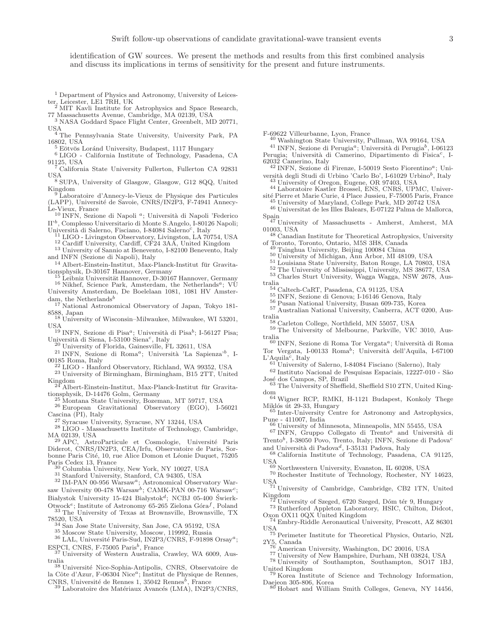identification of GW sources. We present the methods and results from this first combined analysis and discuss its implications in terms of sensitivity for the present and future instruments.

<sup>1</sup> Department of Physics and Astronomy, University of Leices-

ter, Leicester, LE1 7RH, UK <sup>2</sup> MIT Kavli Institute for Astrophysics and Space Research, 77 Massachusetts Avenue, Cambridge, MA 02139, USA

<sup>3</sup> NASA Goddard Space Flight Center, Greenbelt, MD 20771, USA

. <sup>4</sup> The Pennsylvania State University, University Park, PA 16802, USA

 $5$  Eötvös Loránd University, Budapest, 1117 Hungary

<sup>6</sup> LIGO - California Institute of Technology, Pasadena, CA 91125, USA

<sup>7</sup> California State University Fullerton, Fullerton CA 92831 USA <sup>8</sup> SUPA, University of Glasgow, Glasgow, G12 8QQ, United

Kingdom

<sup>9</sup> Laboratoire d'Annecy-le-Vieux de Physique des Particules (LAPP), Université de Savoie, CNRS/IN2P3, F-74941 Annecy-

Le-Vieux, France<br><sup>10</sup> INFN, Sezione di Napoli <sup>a</sup>; Università di Napoli 'Federico II'<sup>b</sup> , Complesso Universitario di Monte S.Angelo, I-80126 Napoli; Università di Salerno, Fisciano, I-84084 Salerno<sup>c</sup>, Italy

<sup>11</sup> LIGO - Livingston Observatory, Livingston, LA 70754, USA

 $^{12}$  Cardiff University, Cardiff, CF24 3A $\rm \AA$ , United Kingdom

<sup>13</sup> University of Sannio at Benevento, I-82100 Benevento, Italy and INFN (Sezione di Napoli), Italy

 $^{14}$  Albert-Einstein-Institut, Max-Planck-Institut für Gravita-  $\,$ tionsphysik, D-30167 Hannover, Germany

Leibniz Universität Hannover, D-30167 Hannover, Germany  $^{16}$  Nikhef, Science Park, Amsterdam, the Netherlands<sup>a</sup>; VU University Amsterdam, De Boelelaan 1081, 1081 HV Amster-

dam, the Netherlands<sup>b</sup> National Astronomical Observatory of Japan, Tokyo 181-

8588, Japan <sup>18</sup> University of Wisconsin–Milwaukee, Milwaukee, WI 53201,

**IISA** 

 $^{19}$  INFN, Sezione di Pisa<sup>a</sup>; Università di Pisa<sup>b</sup>; I-56127 Pisa; Università di Siena, I-53100 Siena<sup>c</sup>, Italy

<sup>20</sup> University of Florida, Gainesville, FL 32611, USA

 $^{21}$  INFN, Sezione di Roma<sup>a</sup>; Università 'La Sapienza'<sup>b</sup>, I-00185 Roma, Italy

<sup>22</sup> LIGO - Hanford Observatory, Richland, WA 99352, USA

<sup>23</sup> University of Birmingham, Birmingham, B15 2TT, United Kingdom

<sup>24</sup> Albert-Einstein-Institut, Max-Planck-Institut fur Gravita- ¨ tionsphysik, D-14476 Golm, Germany

<sup>25</sup> Montana State University, Bozeman, MT 59717, USA <sup>26</sup> European Gravitational Observatory (EGO), I-56021 Cascina (PI), Italy

<sup>27</sup> Syracuse University, Syracuse, NY 13244, USA

<sup>28</sup> LIGO - Massachusetts Institute of Technology, Cambridge, MA 02139, USA

<sup>29</sup> APC, AstroParticule et Cosmologie, Université Paris Diderot, CNRS/IN2P3, CEA/Irfu, Observatoire de Paris, Sorbonne Paris Cité, 10, rue Alice Domon et Léonie Duquet, 75205 Paris Cedex 13, France

<sup>30</sup> Columbia University, New York, NY 10027, USA

<sup>31</sup> Stanford University, Stanford, CA 94305, USA

<sup>32</sup> IM-PAN 00-956 Warsawa; Astronomical Observatory Warsaw University 00-478 Warsaw<sup>b</sup>; CAMK-PAN 00-716 Warsaw<sup>c</sup>; Białystok University 15-424 Białystok<sup>d</sup>; NCBJ 05-400 Świerk-Otwock<sup>e</sup>; Institute of Astronomy 65-265 Zielona Góra<sup>f</sup>, Poland

<sup>33</sup> The University of Texas at Brownsville, Brownsville, TX 78520, USA

<sup>34</sup> San Jose State University, San Jose, CA 95192, USA

<sup>35</sup> Moscow State University, Moscow, 119992, Russia

 $^{36}$  LAL, Université Paris-Sud, IN2P3/CNRS, F-91898 Orsay<sup>a</sup>; ESPCI, CNRS, F-75005 Paris<sup>b</sup>, France

<sup>37</sup> University of Western Australia, Crawley, WA 6009, Australia<br><sup>38</sup> Université Nice-Sophia-Antipolis, CNRS, Observatoire de

la Côte d'Azur, F-06304 Nice<sup>a</sup>; Institut de Physique de Rennes, CNRS, Université de Rennes 1, 35042 Rennes<sup>b</sup>, France

 $^{39}$  Laboratoire des Matériaux Avancés (LMA), IN2P3/CNRS,

F-69622 Villeurbanne, Lyon, France

<sup>40</sup> Washington State University, Pullman, WA 99164, USA

<sup>41</sup> INFN, Sezione di Perugia<sup>a</sup>; Università di Perugia<sup>b</sup>, I-06123 Perugia; Università di Camerino, Dipartimento di Fisica<sup>c</sup>, I-62032 Camerino, Italy

 $42$  INFN, Sezione di Firenze, I-50019 Sesto Fiorentino<sup>a</sup>; Uni-

versità degli Studi di Urbino 'Carlo Bo', I-61029 Urbino<sup>b</sup>, Italy <sup>43</sup> University of Oregon, Eugene, OR 97403, USA

<sup>44</sup> Laboratoire Kastler Brossel, ENS, CNRS, UPMC, Université Pierre et Marie Curie, 4 Place Jussieu, F-75005 Paris, France

<sup>45</sup> University of Maryland, College Park, MD 20742 USA <sup>46</sup> Universitat de les Illes Balears, E-07122 Palma de Mallorca,

Spain <sup>47</sup> University of Massachusetts - Amherst, Amherst, MA

01003, USA

<sup>48</sup> Canadian Institute for Theoretical Astrophysics, University of Toronto, Toronto, Ontario, M5S 3H8, Canada

<sup>49</sup> Tsinghua University, Beijing 100084 China

<sup>50</sup> University of Michigan, Ann Arbor, MI 48109, USA

<sup>51</sup> Louisiana State University, Baton Rouge, LA 70803, USA

<sup>52</sup> The University of Mississippi, University, MS 38677, USA

<sup>53</sup> Charles Sturt University, Wagga Wagga, NSW 2678, Aus-

tralia <sup>54</sup> Caltech-CaRT, Pasadena, CA 91125, USA

<sup>55</sup> INFN, Sezione di Genova; I-16146 Genova, Italy

<sup>56</sup> Pusan National University, Busan 609-735, Korea

<sup>57</sup> Australian National University, Canberra, ACT 0200, Australia

<sup>58</sup> Carleton College, Northfield, MN 55057, USA

<sup>59</sup> The University of Melbourne, Parkville, VIC 3010, Aus-

tralia<br><sup>60</sup> INFN, Sezione di Roma Tor Vergata<sup>a</sup>; Università di Roma Tor Vergata, I-00133 Roma<sup>b</sup>; Università dell'Aquila, I-67100

 $L'$ Aquila<sup>c</sup>, Italy<br><sup>61</sup> University of Salerno, I-84084 Fisciano (Salerno), Italy

 $^{62}$ Instituto Nacional de Pesquisas Espaciais, 12227-010 - São José dos Campos, SP, Brazil

<sup>63</sup> The University of Sheffield, Sheffield S10 2TN, United Kingdom

<sup>64</sup> Wigner RCP, RMKI, H-1121 Budapest, Konkoly Thege Miklós út 29-33, Hungary

<sup>65</sup> Inter-University Centre for Astronomy and Astrophysics, Pune - 411007, India

<sup>66</sup> University of Minnesota, Minneapolis, MN 55455, USA

 $67$  INFN, Gruppo Collegato di Trento<sup>a</sup> and Università di Trento<sup>b</sup>, I-38050 Povo, Trento, Italy; INFN, Sezione di Padova<sup>c</sup> and Università di Padova<sup>d</sup>, I-35131 Padova, Italy

<sup>68</sup> California Institute of Technology, Pasadena, CA 91125,

USA <sup>69</sup> Northwestern University, Evanston, IL 60208, USA

<sup>70</sup> Rochester Institute of Technology, Rochester, NY 14623,

USA <sup>71</sup> University of Cambridge, Cambridge, CB2 1TN, United Kingdom

University of Szeged, 6720 Szeged, Dóm tér 9, Hungary

<sup>73</sup> Rutherford Appleton Laboratory, HSIC, Chilton, Didcot, Oxon OX11 0QX United Kingdom

<sup>74</sup> Embry-Riddle Aeronautical University, Prescott, AZ 86301

USA <sup>75</sup> Perimeter Institute for Theoretical Physics, Ontario, N2L  $2Y_5$ , Canada

American University, Washington, DC 20016, USA

<sup>77</sup> University of New Hampshire, Durham, NH 03824, USA <sup>78</sup> University of Southampton, Southampton, SO17 1BJ,

United Kingdom <sup>9</sup> Korea Institute of Science and Technology Information,

Daejeon 305-806, Korea

<sup>80</sup> Hobart and William Smith Colleges, Geneva, NY 14456,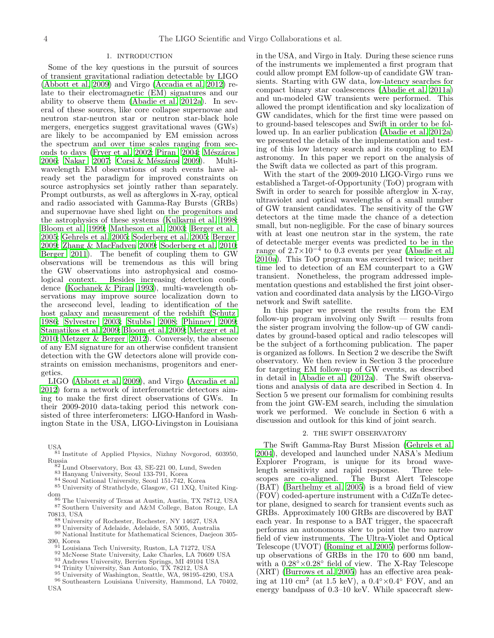#### 1. INTRODUCTION

Some of the key questions in the pursuit of sources of transient gravitational radiation detectable by LIGO [\(Abbott et al. 2009\)](#page-14-0) and Virgo [\(Accadia et al. 2012](#page-14-1)) relate to their electromagnetic (EM) signatures and our ability to observe them [\(Abadie et al. 2012a\)](#page-14-2). In several of these sources, like core collapse supernovae and neutron star-neutron star or neutron star-black hole mergers, energetics suggest gravitational waves (GWs) are likely to be accompanied by EM emission across the spectrum and over time scales ranging from sec-onds to days [\(Fryer et al. 2002](#page-15-0); [Piran 2004;](#page-15-1) Mészáros [2006;](#page-15-2) [Nakar 2007;](#page-15-3) Corsi & Mészáros 2009). Multiwavelength EM observations of such events have already set the paradigm for improved constraints on source astrophysics set jointly rather than separately. Prompt outbursts, as well as afterglows in X-ray, optical and radio associated with Gamma-Ray Bursts (GRBs) and supernovae have shed light on the progenitors and the astrophysics of these systems [\(Kulkarni et al. 1998;](#page-15-5) [Bloom et al. 1999](#page-14-3); [Matheson et al. 2003](#page-15-6); [Berger et al.](#page-14-4) [2005;](#page-14-4) [Gehrels et al. 2005;](#page-15-7) [Soderberg et al. 2005;](#page-15-8) [Berger](#page-14-5) [2009;](#page-14-5) [Zhang & MacFadyen 2009;](#page-15-9) [Soderberg et al. 2010;](#page-15-10) [Berger 2011\)](#page-14-6). The benefit of coupling them to GW observations will be tremendous as this will bring the GW observations into astrophysical and cosmological context. Besides increasing detection confidence [\(Kochanek & Piran 1993\)](#page-15-11), multi-wavelength observations may improve source localization down to the arcsecond level, leading to identification of the host galaxy and measurement of the redshift [\(Schutz](#page-15-12) [1986;](#page-15-12) [Sylvestre 2003;](#page-15-13) [Stubbs 2008;](#page-15-14) [Phinney 2009;](#page-15-15) [Stamatikos et al. 2009;](#page-15-16) [Bloom et al. 2009;](#page-14-7) [Metzger et al.](#page-15-17) [2010;](#page-15-17) [Metzger & Berger 2012\)](#page-15-18). Conversely, the absence of any EM signature for an otherwise confident transient detection with the GW detectors alone will provide constraints on emission mechanisms, progenitors and energetics.

LIGO [\(Abbott et al. 2009\)](#page-14-0), and Virgo [\(Accadia et al.](#page-14-1) [2012\)](#page-14-1) form a network of interferometric detectors aiming to make the first direct observations of GWs. In their 2009-2010 data-taking period this network consisted of three interferometers: LIGO-Hanford in Washington State in the USA, LIGO-Livingston in Louisiana

- USA <sup>81</sup> Institute of Applied Physics, Nizhny Novgorod, 603950, Russia
	- <sup>82</sup> Lund Observatory, Box 43, SE-221 00, Lund, Sweden
	- <sup>83</sup> Hanyang University, Seoul 133-791, Korea
	- <sup>84</sup> Seoul National University, Seoul 151-742, Korea
- <sup>85</sup> University of Strathclyde, Glasgow, G1 1XQ, United Kingdom <sup>86</sup> The University of Texas at Austin, Austin, TX 78712, USA
- <sup>87</sup> Southern University and A&M College, Baton Rouge, LA 70813, USA
	- <sup>88</sup> University of Rochester, Rochester, NY 14627, USA
	- <sup>89</sup> University of Adelaide, Adelaide, SA 5005, Australia
- <sup>90</sup> National Institute for Mathematical Sciences, Daejeon 305-
- 390, Korea <sup>91</sup> Louisiana Tech University, Ruston, LA 71272, USA
	- 92 McNeese State University, Lake Charles, LA 70609 USA
	- <sup>93</sup> Andrews University, Berrien Springs, MI 49104 USA
	- <sup>94</sup> Trinity University, San Antonio, TX 78212, USA
	- <sup>95</sup> University of Washington, Seattle, WA, 98195-4290, USA
- <sup>96</sup> Southeastern Louisiana University, Hammond, LA 70402, USA

in the USA, and Virgo in Italy. During these science runs of the instruments we implemented a first program that could allow prompt EM follow-up of candidate GW transients. Starting with GW data, low-latency searches for compact binary star coalescences [\(Abadie et al. 2011a](#page-14-8)) and un-modeled GW transients were performed. This allowed the prompt identification and sky localization of GW candidates, which for the first time were passed on to ground-based telescopes and Swift in order to be followed up. In an earlier publication [\(Abadie et al. 2012a](#page-14-2)) we presented the details of the implementation and testing of this low latency search and its coupling to EM astronomy. In this paper we report on the analysis of the Swift data we collected as part of this program.

With the start of the 2009-2010 LIGO-Virgo runs we established a Target-of-Opportunity (ToO) program with Swift in order to search for possible afterglow in X-ray, ultraviolet and optical wavelengths of a small number of GW transient candidates. The sensitivity of the GW detectors at the time made the chance of a detection small, but non-negligible. For the case of binary sources with at least one neutron star in the system, the rate of detectable merger events was predicted to be in the range of  $2.7 \times 10^{-4}$  to 0.3 events per year [\(Abadie et al.](#page-14-9) [2010a\)](#page-14-9). This ToO program was exercised twice; neither time led to detection of an EM counterpart to a GW transient. Nonetheless, the program addressed implementation questions and established the first joint observation and coordinated data analysis by the LIGO-Virgo network and Swift satellite.

In this paper we present the results from the EM follow-up program involving only Swift — results from the sister program involving the follow-up of GW candidates by ground-based optical and radio telescopes will be the subject of a forthcoming publication. The paper is organized as follows. In Section 2 we describe the Swift observatory. We then review in Section 3 the procedure for targeting EM follow-up of GW events, as described in detail in [Abadie et al. \(2012a](#page-14-2)). The Swift observations and analysis of data are described in Section 4. In Section 5 we present our formalism for combining results from the joint GW-EM search, including the simulation work we performed. We conclude in Section 6 with a discussion and outlook for this kind of joint search.

#### 2. THE SWIFT OBSERVATORY

The Swift Gamma-Ray Burst Mission [\(Gehrels et al.](#page-15-19) [2004\)](#page-15-19), developed and launched under NASA's Medium Explorer Program, is unique for its broad wavelength sensitivity and rapid response. Three tele-<br>scopes are co-aligned. The Burst Alert Telescope The Burst Alert Telescope (BAT) [\(Barthelmy et al. 2005\)](#page-14-10) is a broad field of view (FOV) coded-aperture instrument with a CdZnTe detector plane, designed to search for transient events such as GRBs. Approximately 100 GRBs are discovered by BAT each year. In response to a BAT trigger, the spacecraft performs an autonomous slew to point the two narrow field of view instruments. The Ultra-Violet and Optical Telescope (UVOT) [\(Roming et al. 2005\)](#page-15-20) performs followup observations of GRBs in the 170 to 600 nm band, with a  $0.28° \times 0.28°$  field of view. The X-Ray Telescope (XRT) [\(Burrows et al. 2005\)](#page-14-11) has an effective area peaking at 110 cm<sup>2</sup> (at 1.5 keV), a  $0.4° \times 0.4°$  FOV, and an energy bandpass of 0.3–10 keV. While spacecraft slew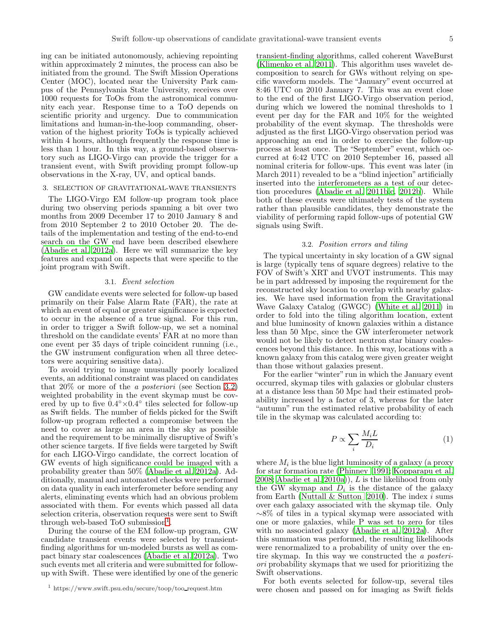ing can be initiated autonomously, achieving repointing within approximately 2 minutes, the process can also be initiated from the ground. The Swift Mission Operations Center (MOC), located near the University Park campus of the Pennsylvania State University, receives over 1000 requests for ToOs from the astronomical community each year. Response time to a ToO depends on scientific priority and urgency. Due to communication limitations and human-in-the-loop commanding, observation of the highest priority ToOs is typically achieved within 4 hours, although frequently the response time is less than 1 hour. In this way, a ground-based observatory such as LIGO-Virgo can provide the trigger for a transient event, with Swift providing prompt follow-up observations in the X-ray, UV, and optical bands.

#### 3. SELECTION OF GRAVITATIONAL-WAVE TRANSIENTS

The LIGO-Virgo EM follow-up program took place during two observing periods spanning a bit over two months from 2009 December 17 to 2010 January 8 and from 2010 September 2 to 2010 October 20. The details of the implementation and testing of the end-to-end search on the GW end have been described elsewhere [\(Abadie et al. 2012a\)](#page-14-2). Here we will summarize the key features and expand on aspects that were specific to the joint program with Swift.

#### 3.1. Event selection

GW candidate events were selected for follow-up based primarily on their False Alarm Rate (FAR), the rate at which an event of equal or greater significance is expected to occur in the absence of a true signal. For this run, in order to trigger a Swift follow-up, we set a nominal threshold on the candidate events' FAR at no more than one event per 35 days of triple coincident running (i.e., the GW instrument configuration when all three detectors were acquiring sensitive data).

To avoid trying to image unusually poorly localized events, an additional constraint was placed on candidates that  $20\%$  or more of the *a posteriori* (see Section [3.2\)](#page-6-0) weighted probability in the event skymap must be covered by up to five  $0.4^\circ \times 0.4^\circ$  tiles selected for follow-up as Swift fields. The number of fields picked for the Swift follow-up program reflected a compromise between the need to cover as large an area in the sky as possible and the requirement to be minimally disruptive of Swift's other science targets. If five fields were targeted by Swift for each LIGO-Virgo candidate, the correct location of GW events of high significance could be imaged with a probability greater than 50% [\(Abadie et al. 2012a\)](#page-14-2). Additionally, manual and automated checks were performed on data quality in each interferometer before sending any alerts, eliminating events which had an obvious problem associated with them. For events which passed all data selection criteria, observation requests were sent to Swift through web-based ToO submission<sup>[1](#page-6-1)</sup>.

During the course of the EM follow-up program, GW candidate transient events were selected by transientfinding algorithms for un-modeled bursts as well as compact binary star coalescences [\(Abadie et al. 2012a](#page-14-2)). Two such events met all criteria and were submitted for followup with Swift. These were identified by one of the generic

transient-finding algorithms, called coherent WaveBurst [\(Klimenko et al. 2011\)](#page-15-21). This algorithm uses wavelet decomposition to search for GWs without relying on specific waveform models. The "January" event occurred at 8:46 UTC on 2010 January 7. This was an event close to the end of the first LIGO-Virgo observation period, during which we lowered the nominal thresholds to 1 event per day for the FAR and 10% for the weighted probability of the event skymap. The thresholds were adjusted as the first LIGO-Virgo observation period was approaching an end in order to exercise the follow-up process at least once. The "September" event, which occurred at 6:42 UTC on 2010 September 16, passed all nominal criteria for follow-ups. This event was later (in March 2011) revealed to be a "blind injection" artificially inserted into the interferometers as a test of our detection procedures [\(Abadie et al. 2011b](#page-14-12)[,c](#page-14-13), [2012b](#page-14-14)). While both of these events were ultimately tests of the system rather than plausible candidates, they demonstrate the viability of performing rapid follow-ups of potential GW signals using Swift.

#### 3.2. Position errors and tiling

<span id="page-6-0"></span>The typical uncertainty in sky location of a GW signal is large (typically tens of square degrees) relative to the FOV of Swift's XRT and UVOT instruments. This may be in part addressed by imposing the requirement for the reconstructed sky location to overlap with nearby galaxies. We have used information from the Gravitational Wave Galaxy Catalog (GWGC) [\(White et al. 2011](#page-15-22)) in order to fold into the tiling algorithm location, extent and blue luminosity of known galaxies within a distance less than 50 Mpc, since the GW interferometer network would not be likely to detect neutron star binary coalescences beyond this distance. In this way, locations with a known galaxy from this catalog were given greater weight than those without galaxies present.

For the earlier "winter" run in which the January event occurred, skymap tiles with galaxies or globular clusters at a distance less than 50 Mpc had their estimated probability increased by a factor of 3, whereas for the later "autumn" run the estimated relative probability of each tile in the skymap was calculated according to:

<span id="page-6-2"></span>
$$
P \propto \sum_{i} \frac{M_i L}{D_i} \tag{1}
$$

where  $M_i$  is the blue light luminosity of a galaxy (a proxy for star formation rate [\(Phinney 1991;](#page-15-23) [Kopparapu et al.](#page-15-24) [2008;](#page-15-24) [Abadie et al. 2010a\)](#page-14-9)), L is the likelihood from only the GW skymap and  $D_i$  is the distance of the galaxy from Earth [\(Nuttall & Sutton 2010\)](#page-15-25). The index  $i$  sums over each galaxy associated with the skymap tile. Only ∼8% of tiles in a typical skymap were associated with one or more galaxies, while P was set to zero for tiles with no associated galaxy [\(Abadie et al. 2012a\)](#page-14-2). After this summation was performed, the resulting likelihoods were renormalized to a probability of unity over the entire skymap. In this way we constructed the a posteriori probability skymaps that we used for prioritizing the Swift observations.

For both events selected for follow-up, several tiles were chosen and passed on for imaging as Swift fields

<span id="page-6-1"></span><sup>1</sup> https://www.swift.psu.edu/secure/toop/too request.htm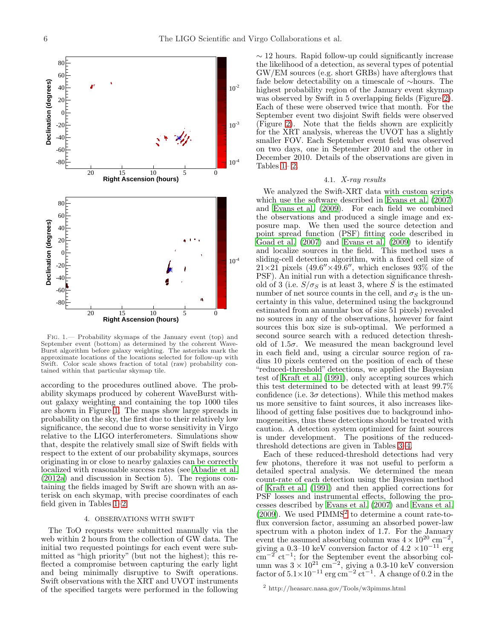

<span id="page-7-0"></span>Fig. 1.— Probability skymaps of the January event (top) and September event (bottom) as determined by the coherent Wave-Burst algorithm before galaxy weighting. The asterisks mark the approximate locations of the locations selected for follow-up with Swift. Color scale shows fraction of total (raw) probability contained within that particular skymap tile.

according to the procedures outlined above. The probability skymaps produced by coherent WaveBurst without galaxy weighting and containing the top 1000 tiles are shown in Figure [1.](#page-7-0) The maps show large spreads in probability on the sky, the first due to their relatively low significance, the second due to worse sensitivity in Virgo relative to the LIGO interferometers. Simulations show that, despite the relatively small size of Swift fields with respect to the extent of our probability skymaps, sources originating in or close to nearby galaxies can be correctly localized with reasonable success rates (see [Abadie et al.](#page-14-2) [\(2012a\)](#page-14-2) and discussion in Section 5). The regions containing the fields imaged by Swift are shown with an asterisk on each skymap, with precise coordinates of each field given in Tables [1](#page-10-0)[–2.](#page-10-1)

#### 4. OBSERVATIONS WITH SWIFT

The ToO requests were submitted manually via the web within 2 hours from the collection of GW data. The initial two requested pointings for each event were submitted as "high priority" (but not the highest); this reflected a compromise between capturing the early light and being minimally disruptive to Swift operations. Swift observations with the XRT and UVOT instruments of the specified targets were performed in the following  $\sim$  12 hours. Rapid follow-up could significantly increase the likelihood of a detection, as several types of potential GW/EM sources (e.g. short GRBs) have afterglows that fade below detectability on a timescale of ∼hours. The highest probability region of the January event skymap was observed by Swift in 5 overlapping fields (Figure [2\)](#page-8-0). Each of these were observed twice that month. For the September event two disjoint Swift fields were observed (Figure [2\)](#page-8-0). Note that the fields shown are explicitly for the XRT analysis, whereas the UVOT has a slightly smaller FOV. Each September event field was observed on two days, one in September 2010 and the other in December 2010. Details of the observations are given in Tables  $1-2$ .

#### 4.1. X-ray results

We analyzed the Swift-XRT data with custom scripts which use the software described in [Evans et al. \(2007](#page-15-26)) and [Evans et al. \(2009\)](#page-15-27). For each field we combined the observations and produced a single image and exposure map. We then used the source detection and point spread function (PSF) fitting code described in [Goad et al. \(2007\)](#page-15-28) and [Evans et al. \(2009\)](#page-15-27) to identify and localize sources in the field. This method uses a sliding-cell detection algorithm, with a fixed cell size of  $21\times21$  pixels  $(49.6''\times49.6''$ , which encloses 93% of the PSF). An initial run with a detection significance threshold of 3 (i.e.  $S/\sigma_S$  is at least 3, where S is the estimated number of net source counts in the cell, and  $\sigma_S$  is the uncertainty in this value, determined using the background estimated from an annular box of size 51 pixels) revealed no sources in any of the observations, however for faint sources this box size is sub-optimal. We performed a second source search with a reduced detection threshold of  $1.5\sigma$ . We measured the mean background level in each field and, using a circular source region of radius 10 pixels centered on the position of each of these "reduced-threshold" detections, we applied the Bayesian test of [Kraft et al. \(1991](#page-15-29)), only accepting sources which this test determined to be detected with at least 99.7% confidence (i.e.  $3\sigma$  detections). While this method makes us more sensitive to faint sources, it also increases likelihood of getting false positives due to background inhomogeneities, thus these detections should be treated with caution. A detection system optimized for faint sources is under development. The positions of the reducedthreshold detections are given in Tables [3–](#page-10-2)[4.](#page-11-0)

Each of these reduced-threshold detections had very few photons, therefore it was not useful to perform a detailed spectral analysis. We determined the mean count-rate of each detection using the Bayesian method of [Kraft et al. \(1991\)](#page-15-29) and then applied corrections for PSF losses and instrumental effects, following the processes described by [Evans et al. \(2007\)](#page-15-26) and [Evans et al.](#page-15-27)  $(2009)$ . We used PIMMS<sup>[2](#page-7-1)</sup> to determine a count rate-toflux conversion factor, assuming an absorbed power-law spectrum with a photon index of 1.7. For the January event the assumed absorbing column was  $4 \times 10^{20}$  cm<sup>-2</sup>, giving a 0.3–10 keV conversion factor of  $4.2 \times 10^{-11}$  erg  $\mathrm{cm}^{-2}$  ct<sup>-1</sup>; for the September event the absorbing column was  $3 \times 10^{21}$  cm<sup>-2</sup>, giving a 0.3-10 keV conversion factor of  $5.1 \times 10^{-11}$  erg cm<sup>-2</sup> ct<sup>-1</sup>. A change of 0.2 in the

<span id="page-7-1"></span><sup>2</sup> http://heasarc.nasa.gov/Tools/w3pimms.html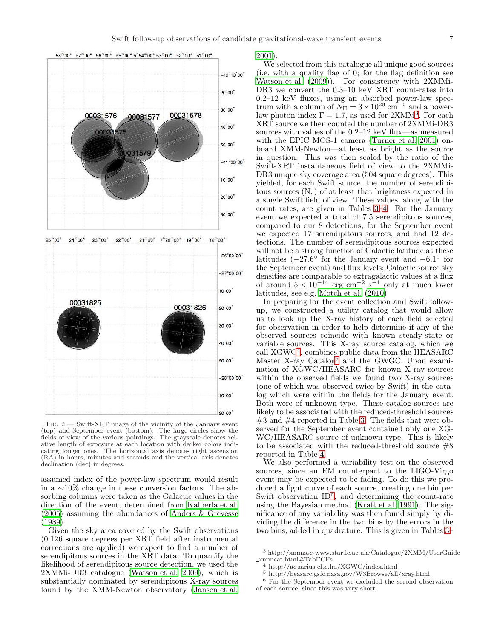

 $24^{\circ\circ}$  00<sup>s</sup>  $23^{\circ\circ}$  00<sup>s</sup>  $22^{\circ\circ}$  00<sup>s</sup>  $21^{\circ\circ}$  00<sup>s</sup>  $7^{\circ}$  20<sup>co</sup> 00<sup>s</sup> 19<sup>m</sup> 00<sup>s</sup>  $18^{\mathrm{m}}$ 00 $^{\mathrm{s}}$  $25^{\mathrm{m}}$ 00 $^{\mathrm{s}}$ 



<span id="page-8-0"></span>Fig. 2.— Swift-XRT image of the vicinity of the January event (top) and September event (bottom). The large circles show the fields of view of the various pointings. The grayscale denotes relative length of exposure at each location with darker colors indicating longer ones. The horizontal axis denotes right ascension (RA) in hours, minutes and seconds and the vertical axis denotes declination (dec) in degrees.

assumed index of the power-law spectrum would result in a ∼10% change in these conversion factors. The absorbing columns were taken as the Galactic values in the direction of the event, determined from [Kalberla et al.](#page-15-30) [\(2005\)](#page-15-30) assuming the abundances of [Anders & Grevesse](#page-14-15) [\(1989\)](#page-14-15).

Given the sky area covered by the Swift observations (0.126 square degrees per XRT field after instrumental corrections are applied) we expect to find a number of serendipitous sources in the XRT data. To quantify the likelihood of serendipitous source detection, we used the 2XMMi-DR3 catalogue [\(Watson et al. 2009\)](#page-15-31), which is substantially dominated by serendipitous X-ray sources found by the XMM-Newton observatory [\(Jansen et al.](#page-15-32)

[2001\)](#page-15-32).

We selected from this catalogue all unique good sources (i.e. with a quality flag of 0; for the flag definition see [Watson et al. \(2009\)](#page-15-31)). For consistency with 2XMMi-DR3 we convert the 0.3–10 keV XRT count-rates into 0.2–12 keV fluxes, using an absorbed power-law spectrum with a column of  $\widetilde{N}_{\rm H} = 3 \times 10^{20} \text{ cm}^{-2}$  and a powerlaw photon index  $\Gamma = 1.7$ , as used for 2XMM<sup>[3](#page-8-1)</sup>. For each XRT source we then counted the number of 2XMMi-DR3 sources with values of the 0.2–12 keV flux—as measured with the EPIC MOS-1 camera [\(Turner et al. 2001](#page-15-33)) onboard XMM-Newton—at least as bright as the source in question. This was then scaled by the ratio of the Swift-XRT instantaneous field of view to the 2XMMi-DR3 unique sky coverage area (504 square degrees). This yielded, for each Swift source, the number of serendipitous sources  $(N_s)$  of at least that brightness expected in a single Swift field of view. These values, along with the count rates, are given in Tables [3](#page-10-2)[–4.](#page-11-0) For the January event we expected a total of 7.5 serendipitous sources, compared to our 8 detections; for the September event we expected 17 serendipitous sources, and had 12 detections. The number of serendipitous sources expected will not be a strong function of Galactic latitude at these latitudes  $(-27.6^{\circ}$  for the January event and  $-6.1^{\circ}$  for the September event) and flux levels; Galactic source sky densities are comparable to extragalactic values at a flux of around  $5 \times 10^{-14}$  erg cm<sup>-2</sup> s<sup>-1</sup> only at much lower latitudes, see e.g. [Motch et al. \(2010\)](#page-15-34).

In preparing for the event collection and Swift followup, we constructed a utility catalog that would allow us to look up the X-ray history of each field selected for observation in order to help determine if any of the observed sources coincide with known steady-state or variable sources. This X-ray source catalog, which we call XGWC[4](#page-8-2) , combines public data from the HEASARC Master X-ray Catalog<sup>[5](#page-8-3)</sup> and the GWGC. Upon examination of XGWC/HEASARC for known X-ray sources within the observed fields we found two X-ray sources (one of which was observed twice by Swift) in the catalog which were within the fields for the January event. Both were of unknown type. These catalog sources are likely to be associated with the reduced-threshold sources  $#3$  and  $#4$  reported in Table [3.](#page-10-2) The fields that were observed for the September event contained only one XG-WC/HEASARC source of unknown type. This is likely to be associated with the reduced-threshold source  $#8$ reported in Table [4.](#page-11-0)

We also performed a variability test on the observed sources, since an EM counterpart to the LIGO-Virgo event may be expected to be fading. To do this we produced a light curve of each source, creating one bin per Swift observation ID<sup>[6](#page-8-4)</sup>, and determining the count-rate using the Bayesian method [\(Kraft et al. 1991](#page-15-29)). The significance of any variability was then found simply by dividing the difference in the two bins by the errors in the two bins, added in quadrature. This is given in Tables [3–](#page-10-2)

<sup>3</sup> http://xmmssc-www.star.le.ac.uk/Catalogue/2XMM/UserGuide xmmcat.html#TabECFs

<span id="page-8-1"></span><sup>4</sup> http://aquarius.elte.hu/XGWC/index.html

<span id="page-8-3"></span><span id="page-8-2"></span><sup>5</sup> http://heasarc.gsfc.nasa.gov/W3Browse/all/xray.html

<span id="page-8-4"></span><sup>6</sup> For the September event we excluded the second observation of each source, since this was very short.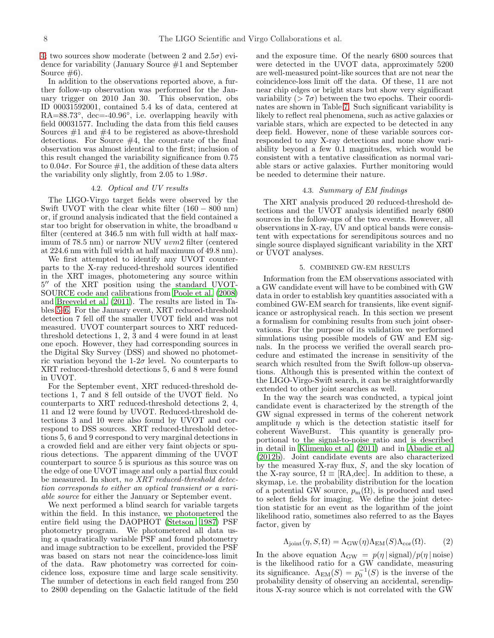[4;](#page-11-0) two sources show moderate (between 2 and  $2.5\sigma$ ) evidence for variability (January Source #1 and September Source  $#6$ ).

In addition to the observations reported above, a further follow-up observation was performed for the January trigger on 2010 Jan 30. This observation, obs ID 00031592001, contained 5.4 ks of data, centered at RA=88.73°, dec=-40.96°, i.e. overlapping heavily with field 00031577. Including the data from this field causes Sources  $#1$  and  $#4$  to be registered as above-threshold detections. For Source #4, the count-rate of the final observation was almost identical to the first; inclusion of this result changed the variability significance from 0.75 to  $0.04\sigma$ . For Source  $\#1$ , the addition of these data alters the variability only slightly, from 2.05 to 1.98 $\sigma$ .

#### 4.2. Optical and UV results

The LIGO-Virgo target fields were observed by the Swift UVOT with the clear white filter  $(160 - 800)$  nm) or, if ground analysis indicated that the field contained a star too bright for observation in white, the broadband  $u$ filter (centered at 346.5 nm with full width at half maximum of 78.5 nm) or narrow NUV uvm2 filter (centered at 224.6 nm with full width at half maximum of 49.8 nm).

We first attempted to identify any UVOT counterparts to the X-ray reduced-threshold sources identified in the XRT images, photometering any source within 5 ′′ of the XRT position using the standard UVOT-SOURCE code and calibrations from [Poole et al. \(2008](#page-15-35)) and [Breeveld et al. \(2011\)](#page-14-16). The results are listed in Tables [5](#page-11-1)[–6.](#page-11-2) For the January event, XRT reduced-threshold detection 7 fell off the smaller UVOT field and was not measured. UVOT counterpart sources to XRT reducedthreshold detections 1, 2, 3 and 4 were found in at least one epoch. However, they had corresponding sources in the Digital Sky Survey (DSS) and showed no photometric variation beyond the 1-2 $\sigma$  level. No counterparts to XRT reduced-threshold detections 5, 6 and 8 were found in UVOT.

For the September event, XRT reduced-threshold detections 1, 7 and 8 fell outside of the UVOT field. No counterparts to XRT reduced-threshold detections 2, 4, 11 and 12 were found by UVOT. Reduced-threshold detections 3 and 10 were also found by UVOT and correspond to DSS sources. XRT reduced-threshold detections 5, 6 and 9 correspond to very marginal detections in a crowded field and are either very faint objects or spurious detections. The apparent dimming of the UVOT counterpart to source 5 is spurious as this source was on the edge of one UVOT image and only a partial flux could be measured. In short, no XRT reduced-threshold detection corresponds to either an optical transient or a variable source for either the January or September event.

We next performed a blind search for variable targets within the field. In this instance, we photometered the entire field using the DAOPHOT [\(Stetson 1987\)](#page-15-36) PSF photometry program. We photometered all data using a quadratically variable PSF and found photometry and image subtraction to be excellent, provided the PSF was based on stars not near the coincidence-loss limit of the data. Raw photometry was corrected for coincidence loss, exposure time and large scale sensitivity. The number of detections in each field ranged from 250 to 2800 depending on the Galactic latitude of the field

and the exposure time. Of the nearly 6800 sources that were detected in the UVOT data, approximately 5200 are well-measured point-like sources that are not near the coincidence-loss limit off the data. Of these, 11 are not near chip edges or bright stars but show very significant variability ( $> 7\sigma$ ) between the two epochs. Their coordinates are shown in Table [7.](#page-12-0) Such significant variability is likely to reflect real phenomena, such as active galaxies or variable stars, which are expected to be detected in any deep field. However, none of these variable sources corresponded to any X-ray detections and none show variability beyond a few 0.1 magnitudes, which would be consistent with a tentative classification as normal variable stars or active galaxies. Further monitoring would be needed to determine their nature.

#### 4.3. Summary of EM findings

The XRT analysis produced 20 reduced-threshold detections and the UVOT analysis identified nearly 6800 sources in the follow-ups of the two events. However, all observations in X-ray, UV and optical bands were consistent with expectations for serendipitous sources and no single source displayed significant variability in the XRT or UVOT analyses.

#### 5. COMBINED GW-EM RESULTS

<span id="page-9-1"></span>Information from the EM observations associated with a GW candidate event will have to be combined with GW data in order to establish key quantities associated with a combined GW-EM search for transients, like event significance or astrophysical reach. In this section we present a formalism for combining results from such joint observations. For the purpose of its validation we performed simulations using possible models of GW and EM signals. In the process we verified the overall search procedure and estimated the increase in sensitivity of the search which resulted from the Swift follow-up observations. Although this is presented within the context of the LIGO-Virgo-Swift search, it can be straightforwardly extended to other joint searches as well.

In the way the search was conducted, a typical joint candidate event is characterized by the strength of the GW signal expressed in terms of the coherent network amplitude  $\eta$  which is the detection statistic itself for coherent WaveBurst. This quantity is generally proportional to the signal-to-noise ratio and is described in detail in [Klimenko et al. \(2011\)](#page-15-21) and in [Abadie et al.](#page-14-14) [\(2012b\)](#page-14-14). Joint candidate events are also characterized by the measured X-ray flux, S, and the sky location of the X-ray source,  $\Omega \equiv$  [RA,dec]. In addition to these, a skymap, i.e. the probability distribution for the location of a potential GW source,  $p_m(\Omega)$ , is produced and used to select fields for imaging. We define the joint detection statistic for an event as the logarithm of the joint likelihood ratio, sometimes also referred to as the Bayes factor, given by

<span id="page-9-0"></span>
$$
\Lambda_{\text{joint}}(\eta, S, \Omega) = \Lambda_{\text{GW}}(\eta) \Lambda_{\text{EM}}(S) \Lambda_{\text{cor}}(\Omega). \tag{2}
$$

In the above equation  $\Lambda_{\rm GW} = p(\eta | \text{signal})/p(\eta | \text{noise})$ is the likelihood ratio for a GW candidate, measuring its significance.  $\Lambda_{EM}(S) = p_0^{-1}(S)$  is the inverse of the probability density of observing an accidental, serendipitous X-ray source which is not correlated with the GW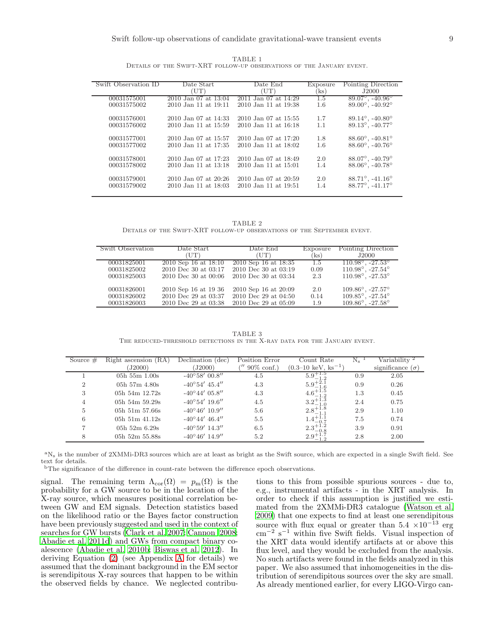|                                                                       | TABLE 1 |  |  |
|-----------------------------------------------------------------------|---------|--|--|
| DETAILS OF THE SWIFT-XRT FOLLOW-UP OBSERVATIONS OF THE JANUARY EVENT. |         |  |  |

<span id="page-10-0"></span>

| Swift Observation ID | Date Start           | Date End                 | Exposure | Pointing Direction                 |
|----------------------|----------------------|--------------------------|----------|------------------------------------|
|                      | (UT)                 | (UT)                     | ks)      | J2000                              |
| 00031575001          | 2010 Jan 07 at 13:04 | 2011 Jan 07 at 14:29     | 1.5      | $89.07^{\circ}$ , $-40.96^{\circ}$ |
| 00031575002          | 2010 Jan 11 at 19:11 | 2010 Jan 11 at 19:38     | 1.6      | $89.00^{\circ}$ , $-40.92^{\circ}$ |
| 00031576001          | 2010 Jan 07 at 14:33 | 2010 Jan 07 at 15:55     | 1.7      | $89.14^{\circ}$ , $-40.80^{\circ}$ |
| 00031576002          | 2010 Jan 11 at 15:59 | 2010 Jan 11 at 16:18     | 1.1      | $89.13^{\circ}$ , $-40.77^{\circ}$ |
| 00031577001          | 2010 Jan 07 at 15:57 | 2010 Jan 07 at 17:20     | 1.8      | $88.60^{\circ}$ , $-40.81^{\circ}$ |
| 00031577002          | 2010 Jan 11 at 17:35 | 2010 Jan 11 at 18:02     | 1.6      | $88.60^{\circ}$ , $-40.76^{\circ}$ |
| 00031578001          | 2010 Jan 07 at 17:23 | 2010 Jan 07 at 18:49     | 2.0      | $88.07^{\circ}$ , $-40.79^{\circ}$ |
| 00031578002          | 2010 Jan 11 at 13:18 | $2010$ Jan 11 at $15:01$ | 1.4      | $88.06^{\circ}$ , $-40.78^{\circ}$ |
| 00031579001          | 2010 Jan 07 at 20:26 | 2010 Jan 07 at 20:59     | 2.0      | $88.71^{\circ}$ , $-41.16^{\circ}$ |
| 00031579002          | 2010 Jan 11 at 18:03 | 2010 Jan 11 at 19:51     | 1.4      | $88.77^{\circ}$ , $-41.17^{\circ}$ |
|                      |                      |                          |          |                                    |

TABLE 2 Details of the Swift-XRT follow-up observations of the September event.

<span id="page-10-1"></span>

| Swift Observation | Date Start               | Date End               | Exposure | Pointing Direction                  |
|-------------------|--------------------------|------------------------|----------|-------------------------------------|
|                   | (UT)                     | TT)                    | 'ks)     | J2000                               |
| 00031825001       | $2010$ Sep 16 at 18:10   | $2010$ Sep 16 at 18:35 | 1.5      | $110.98^{\circ}$ , $-27.53^{\circ}$ |
| 00031825002       | 2010 Dec 30 at 03:17     | 2010 Dec 30 at 03:19   | 0.09     | $110.98^{\circ}$ , $-27.54^{\circ}$ |
| 00031825003       | $2010$ Dec 30 at $00:06$ | 2010 Dec 30 at 03:34   | 2.3      | $110.98^{\circ}$ , $-27.53^{\circ}$ |
| 00031826001       | 2010 Sep 16 at 19 36     | 2010 Sep 16 at 20:09   | 2.0      | $109.86^{\circ}$ , $-27.57^{\circ}$ |
| 00031826002       | 2010 Dec 29 at 03:37     | 2010 Dec 29 at 04:50   | 0.14     | $109.85^{\circ}$ , $-27.54^{\circ}$ |
| 00031826003       | 2010 Dec 29 at 03:38     | 2010 Dec 29 at 05:09   | 1.9      | $109.86^{\circ}$ , $-27.58^{\circ}$ |
|                   |                          |                        |          |                                     |

TABLE 3 The reduced-threshold detections in the X-ray data for the January event.

<span id="page-10-2"></span>

| Source $#$ | Right ascension<br>(RA)<br>J2000 | Declination (dec)<br>J2000 | Position Error<br>$90\%$ conf.) | Count Rate<br>$(0.3-10 \text{ keV}, \text{ks}^{-1})$ | $N_{\rm s}$ | Variability <sup>2</sup><br>significance $(\sigma)$ |
|------------|----------------------------------|----------------------------|---------------------------------|------------------------------------------------------|-------------|-----------------------------------------------------|
|            | $05h\ 55m\ 1.00s$                | $-40^{\circ}58'$ 00.8"     | 4.5                             | $5.9^{+1.5}_{-1.2}$                                  | 0.9         | 2.05                                                |
| 2          | $05h\ 57m\ 4.80s$                | $-40^{\circ}54'$ 45.4"     | 4.3                             | $5.9^{+2.1}_{-1.6}$                                  | 0.9         | 0.26                                                |
| 3          | 05h 54m $12.72s$                 | $-40^{\circ}44'$ 05.8"     | 4.3                             | $4.6^{+1.5}$                                         | 1.3         | 0.45                                                |
| 4          | 05h 54m 59.29s                   | $-40^{\circ}54'$ 19.6"     | 4.5                             | $3.2^{+1.3}_{-1.0}$                                  | 2.4         | 0.75                                                |
| 5          | $05h$ 51m 57.66s                 | $-40^{\circ}46'$ 10.9"     | 5.6                             | $2.8^{+1.8}_{-1.1}$                                  | 2.9         | 1.10                                                |
| 6          | 05h 51m $41.12s$                 | $-40^{\circ}44'$ $46.4''$  | 5.5                             | $1.4 + 1.1$                                          | 7.5         | 0.74                                                |
|            | 05h 52m $6.29s$                  | $-40^{\circ}59'$ 14.3"     | 6.5                             | $2.3^{+1.2}_{-0.2}$                                  | 3.9         | 0.91                                                |
| 8          | $05h$ 52m 55.88s                 | $-40^{\circ}46'$ 14.9"     | 5.2                             | $2.9^{+}$                                            | 2.8         | 2.00                                                |

<sup>a</sup>N<sub>s</sub> is the number of 2XMMi-DR3 sources which are at least as bright as the Swift source, which are expected in a single Swift field. See text for details.

 $\rm ^bThe$  significance of the difference in count-rate between the difference epoch observations.

signal. The remaining term  $\Lambda_{\text{cor}}(\Omega) = p_m(\Omega)$  is the probability for a GW source to be in the location of the X-ray source, which measures positional correlation between GW and EM signals. Detection statistics based on the likelihood ratio or the Bayes factor construction have been previously suggested and used in the context of searches for GW bursts [\(Clark et al. 2007;](#page-15-37) [Cannon 2008;](#page-15-38) [Abadie et al. 2011d\)](#page-14-17) and GWs from compact binary coalescence [\(Abadie et al. 2010b;](#page-14-18) [Biswas et al. 2012\)](#page-14-19). In deriving Equation [\(2\)](#page-9-0) (see Appendix [A](#page-14-20) for details) we assumed that the dominant background in the EM sector is serendipitous X-ray sources that happen to be within the observed fields by chance. We neglected contribu-

tions to this from possible spurious sources - due to, e.g., instrumental artifacts - in the XRT analysis. In order to check if this assumption is justified we estimated from the 2XMMi-DR3 catalogue [\(Watson et al.](#page-15-31) [2009\)](#page-15-31) that one expects to find at least one serendipitous source with flux equal or greater than  $5.4 \times 10^{-13}$  erg cm<sup>−</sup><sup>2</sup> s <sup>−</sup><sup>1</sup> within five Swift fields. Visual inspection of the XRT data would identify artifacts at or above this flux level, and they would be excluded from the analysis. No such artifacts were found in the fields analyzed in this paper. We also assumed that inhomogeneities in the distribution of serendipitous sources over the sky are small. As already mentioned earlier, for every LIGO-Virgo can-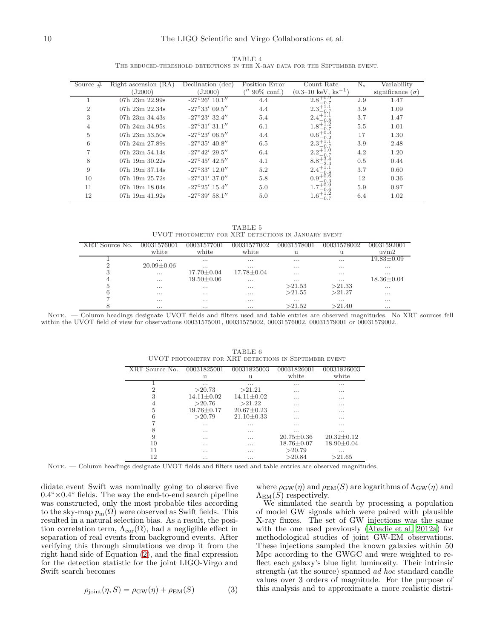|                                                                             | TABLE 4 |  |  |  |
|-----------------------------------------------------------------------------|---------|--|--|--|
| THE REDUCED-THRESHOLD DETECTIONS IN THE X-RAY DATA FOR THE SEPTEMBER EVENT. |         |  |  |  |

<span id="page-11-0"></span>

| Source $#$     | Right ascension (RA)<br>(J2000) | Declination (dec)<br>(J2000) | Position Error<br>$90\%$ conf.) | Count Rate<br>$(0.3-10 \text{ keV}, \text{ks}^{-1})$ | $N_{\rm s}$ | Variability<br>significance $(\sigma)$ |
|----------------|---------------------------------|------------------------------|---------------------------------|------------------------------------------------------|-------------|----------------------------------------|
|                | 07h 23m 22.99s                  | $-27^{\circ}26'$ 10.1"       | 4.4                             | $2.8^{+0.9}_{-0.2}$                                  | 2.9         | 1.47                                   |
| $\overline{2}$ | 07h $23m$ $22.34s$              | $-27^{\circ}33'$ 09.5"       | 4.4                             | $2.3^{+1.1}_{-0.7}$                                  | 3.9         | 1.09                                   |
| 3              | 07h $23m$ $34.43s$              | $-27^{\circ}23'$ 32.4"       | 5.4                             | $2.4 + 1.1$                                          | 3.7         | 1.47                                   |
| 4              | 07h $24m$ $34.95s$              | $-27^{\circ}31'31.1''$       | 6.1                             | $1.8^{+}$                                            | 5.5         | 1.01                                   |
| 5              | 07h $23m\,53.50s$               | $-27^{\circ}23'$ 06.5"       | 4.4                             | $0.6^{+0}$                                           | 17          | 1.30                                   |
| 6              | 07h $24m$ $27.89s$              | $-27^{\circ}35'$ 40.8"       | 6.5                             | $2.3^{+}$                                            | 3.9         | 2.48                                   |
|                | 07h $23m$ 54.14s                | $-27^{\circ}42'$ 29.5"       | 6.4                             | うつす                                                  | 4.2         | 1.20                                   |
| 8              | 07h $19m$ $30.22s$              | $-27^{\circ}45'$ $42.5''$    | 4.1                             | $8.8^{+3.4}_{-2.4}$                                  | 0.5         | 0.44                                   |
| 9              | 07h 19m 37.14s                  | $-27^{\circ}33'$ 12.0"       | 5.2                             | $2.4 + 1.1$                                          | 3.7         | 0.60                                   |
| 10             | 07h 19m 25.72s                  | $-27^{\circ}31'37.0''$       | 5.8                             | $0.9^{+0.6}$                                         | 12          | 0.36                                   |
| 11             | 07h 19m 18.04s                  | $-27^{\circ}25'$ 15.4"       | 5.0                             |                                                      | 5.9         | 0.97                                   |
| 12             | 07h $19m$ $41.92s$              | $-27^{\circ}39'$ 58.1"       | 5.0                             |                                                      | 6.4         | 1.02                                   |

TABLE 5 UVOT photometry for XRT detections in January event

<span id="page-11-1"></span>

| source |                  |                  |                  | $-000$<br>001 |          | 0003159          |
|--------|------------------|------------------|------------------|---------------|----------|------------------|
|        | white            | white            | white            | $\mathbf{11}$ | u        | uvw2             |
|        | $\cdots$         | $\cdots$         | $\cdots$         | $\cdots$      | $\cdots$ | $19.83 \pm 0.09$ |
| ച      | $20.09 \pm 0.06$ | $\cdots$         | $\cdots$         | $\cdots$      | $\cdots$ | $\cdots$         |
| 3      | $\cdots$         | $17.70 \pm 0.04$ | $17.78 \pm 0.04$ | $\cdots$      | $\cdots$ | $\cdots$         |
| 4      | $\cdots$         | $19.50 \pm 0.06$ | $\cdots$         | $\cdots$      | $\cdots$ | $18.36 \pm 0.04$ |
| 5      | $\cdots$         | $\cdots$         | $\cdots$         | >21.53        | >21.33   | $\cdots$         |
| 6      | $\cdots$         | $\cdots$         | $\cdots$         | >21.55        | >21.27   | $\cdots$         |
|        | $\cdots$         | $\cdots$         | $\cdots$         | $\cdots$      | $\cdots$ | $\cdots$         |
|        | $\cdots$         | $\cdots$         | $\cdots$         | >21.52        | >21.40   | $\cdots$         |

<span id="page-11-2"></span>NOTE. — Column headings designate UVOT fields and filters used and table entries are observed magnitudes. No XRT sources fell within the UVOT field of view for observations 00031575001, 00031575002, 00031576002, 00031579001 or 00031579002.

| XRT Source No. | 00031825001      | 00031825003      | 00031826001      | 00031826003      |
|----------------|------------------|------------------|------------------|------------------|
|                | u                | 11               | white            | white            |
|                | $\cdots$         | $\cdots$         | $\cdots$         | $\cdots$         |
| 2              | >20.73           | >21.21           | $\cdots$         | $\cdots$         |
| 3              | $14.11 \pm 0.02$ | $14.11 \pm 0.02$ | .                | $\cdots$         |
| 4              | >20.76           | >21.22           | $\cdots$         | $\cdots$         |
| 5              | $19.76 + 0.17$   | $20.67 \pm 0.23$ | .                | $\cdots$         |
| 6              | >20.79           | $21.10 \pm 0.33$ | $\cdots$         | $\cdots$         |
|                | $\cdots$         | .                | $\cdots$         | $\cdots$         |
| 8              | $\cdots$         | .                | $\cdots$         | $\cdots$         |
| 9              | $\cdots$         | .                | $20.75 \pm 0.36$ | $20.32 \pm 0.12$ |
| 10             | $\cdots$         | .                | $18.76 \pm 0.07$ | $18.90 \pm 0.04$ |
| 11             | $\cdots$         | .                | >20.79           | $\cdots$         |
| 12             | $\cdots$         | .                | >20.84           | >21.65           |

TABLE 6 UVOT photometry for XRT detections in September event

NOTE. - Column headings designate UVOT fields and filters used and table entries are observed magnitudes.

didate event Swift was nominally going to observe five  $0.4° \times 0.4°$  fields. The way the end-to-end search pipeline was constructed, only the most probable tiles according to the sky-map  $p_m(\Omega)$  were observed as Swift fields. This resulted in a natural selection bias. As a result, the position correlation term,  $\Lambda_{\text{cor}}(\Omega)$ , had a negligible effect in separation of real events from background events. After verifying this through simulations we drop it from the right hand side of Equation [\(2\)](#page-9-0), and the final expression for the detection statistic for the joint LIGO-Virgo and Swift search becomes

<span id="page-11-3"></span>
$$
\rho_{\text{joint}}(\eta, S) = \rho_{\text{GW}}(\eta) + \rho_{\text{EM}}(S) \tag{3}
$$

where  $\rho_{\rm GW}(\eta)$  and  $\rho_{\rm EM}(S)$  are logarithms of  $\Lambda_{\rm GW}(\eta)$  and  $\Lambda_{EM}(S)$  respectively.

We simulated the search by processing a population of model GW signals which were paired with plausible X-ray fluxes. The set of GW injections was the same with the one used previously [\(Abadie et al. 2012a\)](#page-14-2) for methodological studies of joint GW-EM observations. These injections sampled the known galaxies within 50 Mpc according to the GWGC and were weighted to reflect each galaxy's blue light luminosity. Their intrinsic strength (at the source) spanned ad hoc standard candle values over 3 orders of magnitude. For the purpose of this analysis and to approximate a more realistic distri-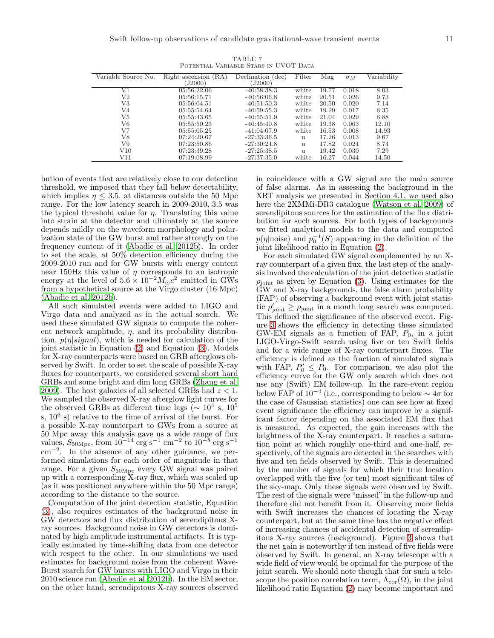<span id="page-12-0"></span>

|                     |                      |                   | Filter |       |            |             |
|---------------------|----------------------|-------------------|--------|-------|------------|-------------|
| Variable Source No. | Right ascension (RA) | Declination (dec) |        | Mag   | $\sigma_M$ | Variability |
|                     | (J2000)              | J2000)            |        |       |            |             |
| V1                  | 05:56:22.06          | $-40:58:38.3$     | white  | 19.77 | 0.018      | 8.03        |
| V2                  | 05:56:15.71          | $-40:56:06.8$     | white  | 20.51 | 0.026      | 9.73        |
| V3                  | 05:56:04.51          | $-40:51:50.3$     | white  | 20.50 | 0.020      | 7.14        |
| V4                  | 05:55:54.64          | $-40:59:55.3$     | white  | 19.29 | 0.017      | 6.35        |
| V5                  | 05:55:43.65          | $-40:55:51.9$     | white  | 21.04 | 0.029      | 6.88        |
| V6                  | 05:55:50.23          | $-40:45:40.8$     | white  | 19.38 | 0.063      | 12.10       |
| V7                  | 05:55:05.25          | $-41:04:07.9$     | white  | 16.53 | 0.008      | 14.93       |
| V8                  | 07:24:20.67          | $-27:33:36.5$     | 11     | 17.26 | 0.013      | 9.67        |
| V9                  | 07:23:50.86          | $-27:30:24.8$     | 11     | 17.82 | 0.024      | 8.74        |
| V10                 | 07:23:39.28          | $-27:25:38.5$     | 11     | 19.42 | 0.030      | 7.29        |
| V11                 | 07:19:08.99          | $-27:37:35.0$     | white  | 16.27 | 0.044      | 14.50       |

TABLE 7 Potential Variable Stars in UVOT Data

bution of events that are relatively close to our detection threshold, we imposed that they fall below detectability, which implies  $\eta \leq 3.5$ , at distances outside the 50 Mpc range. For the low latency search in 2009-2010, 3.5 was the typical threshold value for  $\eta$ . Translating this value into strain at the detector and ultimately at the source depends mildly on the waveform morphology and polarization state of the GW burst and rather strongly on the frequency content of it [\(Abadie et al. 2012b\)](#page-14-14). In order to set the scale, at 50% detection efficiency during the 2009-2010 run and for GW bursts with energy content near 150Hz this value of  $\eta$  corresponds to an isotropic energy at the level of  $5.6 \times 10^{-2} M_{\odot} c^2$  emitted in GWs from a hypothetical source at the Virgo cluster (16 Mpc) [\(Abadie et al. 2012b\)](#page-14-14).

All such simulated events were added to LIGO and Virgo data and analyzed as in the actual search. We used these simulated GW signals to compute the coherent network amplitude,  $\eta$ , and its probability distribution,  $p(\eta|signal)$ , which is needed for calculation of the joint statistic in Equation [\(2\)](#page-9-0) and Equation [\(3\)](#page-11-3). Models for X-ray counterparts were based on GRB afterglows observed by Swift. In order to set the scale of possible X-ray fluxes for counterparts, we considered several short hard GRBs and some bright and dim long GRBs [\(Zhang et al.](#page-15-39) [2009\)](#page-15-39). The host galaxies of all selected GRBs had  $z < 1$ . We sampled the observed X-ray afterglow light curves for the observed GRBs at different time lags ( $\sim 10^4$  s,  $10^5$ s,  $10^6$  s) relative to the time of arrival of the burst. For a possible X-ray counterpart to GWs from a source at 50 Mpc away this analysis gave us a wide range of flux values,  $S_{50 \text{Mpc}}$ , from  $10^{-14}$  erg s<sup>-1</sup> cm<sup>-2</sup> to  $10^{-8}$  erg s<sup>-1</sup> cm<sup>−</sup><sup>2</sup> . In the absence of any other guidance, we performed simulations for each order of magnitude in that range. For a given  $S_{50\text{Mpc}}$  every GW signal was paired up with a corresponding X-ray flux, which was scaled up (as it was positioned anywhere within the 50 Mpc range) according to the distance to the source.

Computation of the joint detection statistic, Equation [\(3\)](#page-11-3), also requires estimates of the background noise in GW detectors and flux distribution of serendipitous Xray sources. Background noise in GW detectors is dominated by high amplitude instrumental artifacts. It is typically estimated by time-shifting data from one detector with respect to the other. In our simulations we used estimates for background noise from the coherent Wave-Burst search for GW bursts with LIGO and Virgo in their 2010 science run [\(Abadie et al. 2012b](#page-14-14)). In the EM sector, on the other hand, serendipitous X-ray sources observed

in coincidence with a GW signal are the main source of false alarms. As in assessing the background in the XRT analysis we presented in Section 4.1, we used also here the 2XMMi-DR3 catalogue [\(Watson et al. 2009\)](#page-15-31) of serendipitous sources for the estimation of the flux distribution for such sources. For both types of backgrounds we fitted analytical models to the data and computed  $p(\eta|\text{noise})$  and  $p_0^{-1}(S)$  appearing in the definition of the joint likelihood ratio in Equation [\(2\)](#page-9-0).

For each simulated GW signal complemented by an Xray counterpart of a given flux, the last step of the analysis involved the calculation of the joint detection statistic  $\rho_{\text{joint}}$  as given by Equation [\(3\)](#page-11-3). Using estimates for the GW and X-ray backgrounds, the false alarm probability (FAP) of observing a background event with joint statistic  $\rho'_{joint} \geq \rho_{joint}$  in a month long search was computed. This defined the significance of the observed event. Figure [3](#page-13-0) shows the efficiency in detecting these simulated GW-EM signals as a function of FAP,  $P_0$ , in a joint LIGO-Virgo-Swift search using five or ten Swift fields and for a wide range of X-ray counterpart fluxes. The efficiency is defined as the fraction of simulated signals with FAP,  $P'_0 \n\t\le P_0$ . For comparison, we also plot the efficiency curve for the GW only search which does not use any (Swift) EM follow-up. In the rare-event region below FAP of  $10^{-4}$  (i.e., corresponding to below  $\sim 4\sigma$  for the case of Gaussian statistics) one can see how at fixed event significance the efficiency can improve by a significant factor depending on the associated EM flux that is measured. As expected, the gain increases with the brightness of the X-ray counterpart. It reaches a saturation point at which roughly one-third and one-half, respectively, of the signals are detected in the searches with five and ten fields observed by Swift. This is determined by the number of signals for which their true location overlapped with the five (or ten) most significant tiles of the sky-map. Only these signals were observed by Swift. The rest of the signals were "missed"in the follow-up and therefore did not benefit from it. Observing more fields with Swift increases the chances of locating the X-ray counterpart, but at the same time has the negative effect of increasing chances of accidental detection of serendipitous X-ray sources (background). Figure [3](#page-13-0) shows that the net gain is noteworthy if ten instead of five fields were observed by Swift. In general, an X-ray telescope with a wide field of view would be optimal for the purpose of the joint search. We should note though that for such a telescope the position correlation term,  $\Lambda_{\text{cor}}(\Omega)$ , in the joint likelihood ratio Equation [\(2\)](#page-9-0) may become important and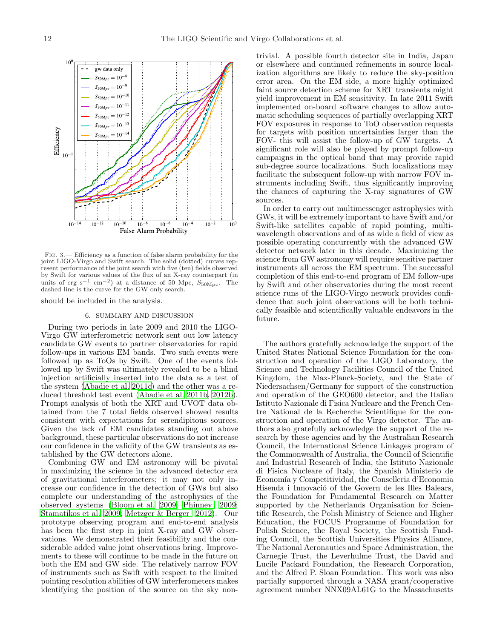<span id="page-13-0"></span>Fig. 3.— Efficiency as a function of false alarm probability for the joint LIGO-Virgo and Swift search. The solid (dotted) curves represent performance of the joint search with five (ten) fields observed by Swift for various values of the flux of an X-ray counterpart (in units of erg s<sup>-1</sup> cm<sup>-2</sup>) at a distance of 50 Mpc,  $S_{50\text{Mpc}}$ . The dashed line is the curve for the GW only search.

should be included in the analysis.

#### 6. SUMMARY AND DISCUSSION

During two periods in late 2009 and 2010 the LIGO-Virgo GW interferometric network sent out low latency candidate GW events to partner observatories for rapid follow-ups in various EM bands. Two such events were followed up as ToOs by Swift. One of the events followed up by Swift was ultimately revealed to be a blind injection artificially inserted into the data as a test of the system [\(Abadie et al. 2011c\)](#page-14-13) and the other was a reduced threshold test event [\(Abadie et al. 2011b](#page-14-12), [2012b\)](#page-14-14). Prompt analysis of both the XRT and UVOT data obtained from the 7 total fields observed showed results consistent with expectations for serendipitous sources. Given the lack of EM candidates standing out above background, these particular observations do not increase our confidence in the validity of the GW transients as established by the GW detectors alone.

Combining GW and EM astronomy will be pivotal in maximizing the science in the advanced detector era of gravitational interferometers; it may not only increase our confidence in the detection of GWs but also complete our understanding of the astrophysics of the observed systems [\(Bloom et al. 2009](#page-14-7); [Phinney 2009;](#page-15-15) [Stamatikos et al. 2009](#page-15-16); [Metzger & Berger 2012\)](#page-15-18). Our prototype observing program and end-to-end analysis has been the first step in joint X-ray and GW observations. We demonstrated their feasibility and the considerable added value joint observations bring. Improvements to these will continue to be made in the future on both the EM and GW side. The relatively narrow FOV of instruments such as Swift with respect to the limited pointing resolution abilities of GW interferometers makes identifying the position of the source on the sky nontrivial. A possible fourth detector site in India, Japan or elsewhere and continued refinements in source localization algorithms are likely to reduce the sky-position error area. On the EM side, a more highly optimized faint source detection scheme for XRT transients might yield improvement in EM sensitivity. In late 2011 Swift implemented on-board software changes to allow automatic scheduling sequences of partially overlapping XRT FOV exposures in response to ToO observation requests for targets with position uncertainties larger than the FOV- this will assist the follow-up of GW targets. A significant role will also be played by prompt follow-up campaigns in the optical band that may provide rapid sub-degree source localizations. Such localizations may facilitate the subsequent follow-up with narrow FOV instruments including Swift, thus significantly improving the chances of capturing the X-ray signatures of GW sources.

In order to carry out multimessenger astrophysics with GWs, it will be extremely important to have Swift and/or Swift-like satellites capable of rapid pointing, multiwavelength observations and of as wide a field of view as possible operating concurrently with the advanced GW detector network later in this decade. Maximizing the science from GW astronomy will require sensitive partner instruments all across the EM spectrum. The successful completion of this end-to-end program of EM follow-ups by Swift and other observatories during the most recent science runs of the LIGO-Virgo network provides confidence that such joint observations will be both technically feasible and scientifically valuable endeavors in the future.

The authors gratefully acknowledge the support of the United States National Science Foundation for the construction and operation of the LIGO Laboratory, the Science and Technology Facilities Council of the United Kingdom, the Max-Planck-Society, and the State of Niedersachsen/Germany for support of the construction and operation of the GEO600 detector, and the Italian Istituto Nazionale di Fisica Nucleare and the French Centre National de la Recherche Scientifique for the construction and operation of the Virgo detector. The authors also gratefully acknowledge the support of the research by these agencies and by the Australian Research Council, the International Science Linkages program of the Commonwealth of Australia, the Council of Scientific and Industrial Research of India, the Istituto Nazionale di Fisica Nucleare of Italy, the Spanish Ministerio de Economía y Competitividad, the Conselleria d'Economia Hisenda i Innovació of the Govern de les Illes Balears, the Foundation for Fundamental Research on Matter supported by the Netherlands Organisation for Scientific Research, the Polish Ministry of Science and Higher Education, the FOCUS Programme of Foundation for Polish Science, the Royal Society, the Scottish Funding Council, the Scottish Universities Physics Alliance, The National Aeronautics and Space Administration, the Carnegie Trust, the Leverhulme Trust, the David and Lucile Packard Foundation, the Research Corporation, and the Alfred P. Sloan Foundation. This work was also partially supported through a NASA grant/cooperative agreement number NNX09AL61G to the Massachusetts

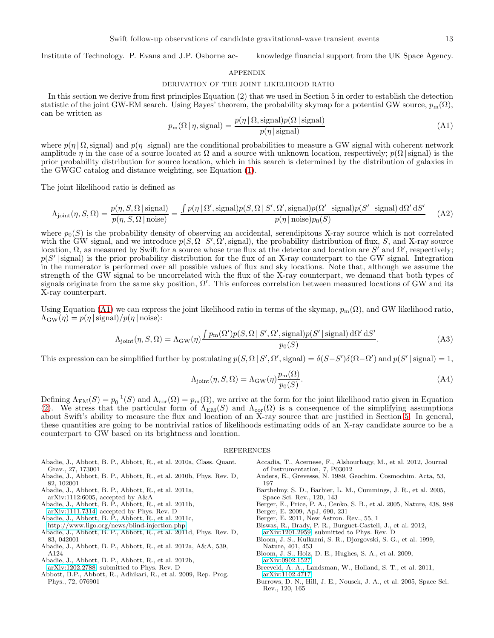Institute of Technology. P. Evans and J.P. Osborne ac- knowledge financial support from the UK Space Agency.

#### APPENDIX

#### DERIVATION OF THE JOINT LIKELIHOOD RATIO

<span id="page-14-20"></span>In this section we derive from first principles Equation (2) that we used in Section 5 in order to establish the detection statistic of the joint GW-EM search. Using Bayes' theorem, the probability skymap for a potential GW source,  $p_m(\Omega)$ , can be written as

<span id="page-14-21"></span>
$$
p_{\rm m}(\Omega \mid \eta, \text{signal}) = \frac{p(\eta \mid \Omega, \text{signal})p(\Omega \mid \text{signal})}{p(\eta \mid \text{signal})}
$$
(A1)

where  $p(\eta | \Omega,$  signal) and  $p(\eta |$  signal) are the conditional probabilities to measure a GW signal with coherent network amplitude  $\eta$  in the case of a source located at  $\Omega$  and a source with unknown location, respectively;  $p(\Omega)$  signal) is the prior probability distribution for source location, which in this search is determined by the distribution of galaxies in the GWGC catalog and distance weighting, see Equation [\(1\)](#page-6-2).

The joint likelihood ratio is defined as

$$
\Lambda_{\text{joint}}(\eta, S, \Omega) = \frac{p(\eta, S, \Omega \mid \text{signal})}{p(\eta, S, \Omega \mid \text{noise})} = \frac{\int p(\eta \mid \Omega', \text{signal}) p(S, \Omega \mid S', \Omega', \text{signal}) p(\Omega' \mid \text{signal}) p(S' \mid \text{signal}) d\Omega' dS'}{p(\eta \mid \text{noise}) p_0(S)} \tag{A2}
$$

where  $p_0(S)$  is the probability density of observing an accidental, serendipitous X-ray source which is not correlated with the GW signal, and we introduce  $p(S, \Omega | S', \Omega', \text{signal})$ , the probability distribution of flux, S, and X-ray source location,  $\Omega$ , as measured by Swift for a source whose true flux at the detector and location are S' and  $\Omega'$ , respectively;  $p(S' | signal)$  is the prior probability distribution for the flux of an X-ray counterpart to the GW signal. Integration in the numerator is performed over all possible values of flux and sky locations. Note that, although we assume the strength of the GW signal to be uncorrelated with the flux of the X-ray counterpart, we demand that both types of signals originate from the same sky position,  $\Omega'$ . This enforces correlation between measured locations of GW and its X-ray counterpart.

Using Equation [\(A1\)](#page-14-21) we can express the joint likelihood ratio in terms of the skymap,  $p_m(\Omega)$ , and GW likelihood ratio,  $\Lambda_{\text{GW}}(\eta) = p(\eta \text{ | signal})/p(\eta \text{ | noise})$ :

$$
\Lambda_{\text{joint}}(\eta, S, \Omega) = \Lambda_{\text{GW}}(\eta) \frac{\int p_{\text{m}}(\Omega') p(S, \Omega \mid S', \Omega', \text{signal}) p(S' \mid \text{signal}) \, d\Omega' \, dS'}{p_0(S)}.
$$
\n(A3)

This expression can be simplified further by postulating  $p(S, \Omega | S', \Omega', \text{signal}) = \delta(S - S')\delta(\Omega - \Omega')$  and  $p(S' | \text{signal}) = 1$ ,

$$
\Lambda_{\text{joint}}(\eta, S, \Omega) = \Lambda_{\text{GW}}(\eta) \frac{p_{\text{m}}(\Omega)}{p_0(S)}.
$$
\n(A4)

Defining  $\Lambda_{EM}(S) = p_0^{-1}(S)$  and  $\Lambda_{cor}(\Omega) = p_m(\Omega)$ , we arrive at the form for the joint likelihood ratio given in Equation [\(2\)](#page-9-0). We stress that the particular form of  $\Lambda_{EM}(S)$  and  $\Lambda_{cor}(\Omega)$  is a consequence of the simplifying assumptions about Swift's ability to measure the flux and location of an X-ray source that are justified in Section [5.](#page-9-1) In general, these quantities are going to be nontrivial ratios of likelihoods estimating odds of an X-ray candidate source to be a counterpart to GW based on its brightness and location.

#### **REFERENCES**

- <span id="page-14-9"></span>Abadie, J., Abbott, B. P., Abbott, R., et al. 2010a, Class. Quant. Grav., 27, 173001
- <span id="page-14-18"></span>Abadie, J., Abbott, B. P., Abbott, R., et al. 2010b, Phys. Rev. D, 82, 102001
- <span id="page-14-8"></span>Abadie, J., Abbott, B. P., Abbott, R., et al. 2011a,
- arXiv:1112:6005, accepted by A&A
- <span id="page-14-12"></span>Abadie, J., Abbott, B. P., Abbott, R., et al. 2011b,
- [arXiv:1111.7314,](http://arxiv.org/abs/1111.7314) accepted by Phys. Rev. D Abadie, J., Abbott, B. P., Abbott, R., et al. 2011c,
- <span id="page-14-13"></span><http://www.ligo.org/news/blind-injection.php>
- <span id="page-14-17"></span>Abadie, J., Abbott, B. P., Abbott, R., et al. 2011d, Phys. Rev. D, 83, 042001
- <span id="page-14-2"></span>Abadie, J., Abbott, B. P., Abbott, R., et al. 2012a, A&A, 539, A124
- <span id="page-14-14"></span>Abadie, J., Abbott, B. P., Abbott, R., et al. 2012b,
- [arXiv:1202.2788,](http://arxiv.org/abs/1202.2788) submitted to Phys. Rev. D
- <span id="page-14-0"></span>Abbott, B.P., Abbott, R., Adhikari, R., et al. 2009, Rep. Prog. Phys., 72, 076901
- <span id="page-14-1"></span>Accadia, T., Acernese, F., Alshourbagy, M., et al. 2012, Journal of Instrumentation, 7, P03012
- <span id="page-14-15"></span>Anders, E., Grevesse, N. 1989, Geochim. Cosmochim. Acta, 53, 197
- <span id="page-14-10"></span>Barthelmy, S. D., Barbier, L. M., Cummings, J. R., et al. 2005, Space Sci. Rev., 120, 143
- <span id="page-14-4"></span>Berger, E., Price, P. A., Cenko, S. B., et al. 2005, Nature, 438, 988
- <span id="page-14-5"></span>Berger, E. 2009, ApJ, 690, 231 Berger, E. 2011, New Astron. Rev., 55, 1
- <span id="page-14-19"></span><span id="page-14-6"></span>Biswas, R., Brady, P. R., Burguet-Castell, J., et al. 2012,
- [arXiv:1201.2959,](http://arxiv.org/abs/1201.2959) submitted to Phys. Rev. D
- <span id="page-14-3"></span>Bloom, J. S., Kulkarni, S. R., Djorgovski, S. G., et al. 1999, Nature, 401, 453
- <span id="page-14-7"></span>Bloom, J. S., Holz, D. E., Hughes, S. A., et al. 2009, [arXiv:0902.1527](http://arxiv.org/abs/0902.1527)
- <span id="page-14-16"></span>Breeveld, A. A., Landsman, W., Holland, S. T., et al. 2011, [arXiv:1102.4717](http://arxiv.org/abs/1102.4717)
- <span id="page-14-11"></span>Burrows, D. N., Hill, J. E., Nousek, J. A., et al. 2005, Space Sci. Rev., 120, 165